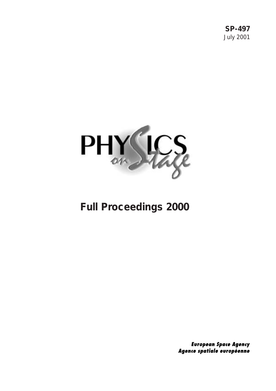**SP-497** July 2001



# **Full Proceedings 2000**

**European Space Agency** Agence spatiale européenne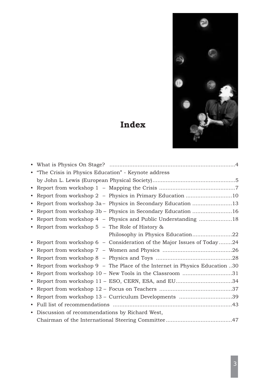

# **Index***+++*

|           | "The Crisis in Physics Education" - Keynote address                        |
|-----------|----------------------------------------------------------------------------|
|           |                                                                            |
| $\bullet$ |                                                                            |
| ٠         | Report from workshop 2 - Physics in Primary Education 10                   |
| $\bullet$ | Report from workshop 3a - Physics in Secondary Education 13                |
| $\bullet$ | Report from workshop 3b - Physics in Secondary Education 16                |
| $\bullet$ | Report from workshop 4 - Physics and Public Understanding 18               |
|           | • Report from workshop $5$ – The Role of History $\&$                      |
|           | Philosophy in Physics Education22                                          |
| $\bullet$ | Report from workshop 6 - Consideration of the Major Issues of Today24      |
| ٠         |                                                                            |
| $\bullet$ |                                                                            |
| $\bullet$ | Report from workshop 9 - The Place of the Internet in Physics Education 30 |
| $\bullet$ | Report from workshop 10 - New Tools in the Classroom 31                    |
| $\bullet$ | Report from workshop 11 - ESO, CERN, ESA, and EU34                         |
| $\bullet$ |                                                                            |
| $\bullet$ | Report from workshop 13 - Curriculum Developments 39                       |
| $\bullet$ |                                                                            |
| $\bullet$ | Discussion of recommendations by Richard West,                             |
|           |                                                                            |
|           |                                                                            |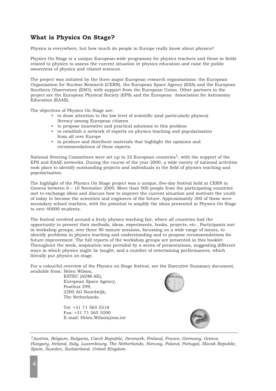# **What is Physics On Stage?**

Physics is everywhere, but how much do people in Europe really know about physics?

Physics On Stage is a unique European-wide programme for physics teachers and those in fields related to physics to assess the current situation in physics education and raise the public awareness of physics and related sciences.

The project was initiated by the three major European research organisations: the European Organization for Nuclear Research (CERN), the European Space Agency (ESA) and the European Southern Observatory (ESO), with support from the European Union. Other partners in the project are the European Physical Society (EPS) and the European Association for Astronomy Education (EAAE).

The objectives of Physics On Stage are:

- to draw attention to the low level of scientific (and particularly physics) literacy among European citizens
- to propose innovative and practical solutions to this problem
- to establish a network of experts on physics teaching and popularisation from all over Europe
- to produce and distribute materials that highlight the opinions and recommendations of these experts.

National Steering Committees were set up in 22 European countries<sup>1</sup>, with the support of the EPS and EAAE networks. During the course of the year 2000, a wide variety of national activities took place to identify outstanding projects and individuals in the field of physics teaching and popularisation.

The highlight of the Physics On Stage project was a unique, five-day festival held at CERN in Geneva between 6 – 10 November 2000. More than 500 people from the participating countries met to exchange ideas and discuss how to improve the current situation and motivate the youth of today to become the scientists and engineers of the future. Approximately 300 of these were secondary school teachers, with the potential to amplify the ideas presented at Physics On Stage to over 40000 students.

The festival revolved around a lively physics teaching fair, where all countries had the opportunity to present their methods, ideas, experiments, books, projects, etc.. Participants met in workshop groups, over three 90 minute sessions, focussing on a wide range of issues, to identify problems in physics teaching and understanding and to propose recommendations for future improvement. The full reports of the workshop groups are presented in this booklet. Throughout the week, inspiration was provided by a series of presentations, suggesting different ways in which physics might be taught, and a number of entertaining performances, which literally put physics on stage.

For a colourful overview of the Physics on Stage festival, see the Executive Summary document, available from: Helen Wilson,

> ESTEC (ADM-AE), European Space Agency, Postbus 299, 2200 AG Noordwijk, The Netherlands.

Tel: +31 71 565 5518 Fax: +31 71 565 5590 E-mail: Helen.Wilson@esa.int





*1Austria, Belgium, Bulgaria, Czech Republic, Denmark, Finland, France, Germany, Greece, Hungary, Ireland, Italy, Luxembourg, The Netherlands, Norway, Poland, Portugal, Slovak Republic, Spain, Sweden, Switzerland, United Kingdom.*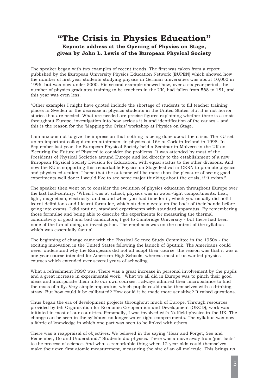# **"The Crisis in Physics Education" Keynote address at the Opening of Physics on Stage, given by John L. Lewis of the European Physical Society**

The speaker began with two examples of recent trends. The first was taken from a report published by the European University Physics Education Network (EUPEN) which showed how the number of first year students studying physics in German universities was about 10,000 in 1996, but was now under 5000. His second example showed how, over a six year period, the number of physics graduates training to be teachers in the UK, had fallen from 568 to 181, and this year was even less.

"Other examples I might have quoted include the shortage of students to fill teacher training places in Sweden or the decrease in physics students in the United States. But it is not horror stories that are needed. What are needed are precise figures explaining whether there is a crisis throughout Europe, investigation into how serious it is and identification of the causes – and this is the reason for the 'Mapping the Crisis' workshop at Physics on Stage.

I am anxious not to give the impression that nothing is being done about the crisis. The EU set up an important colloquium on attainment in physics at 16+ at Cork in Ireland in 1998. In September last year the European Physical Society held a Seminar in Malvern in the UK on 'Securing the Future of Physics' to consider the problems. It was attended by most of the Presidents of Physical Societies around Europe and led directly to the establishment of a new European Physical Society Division for Education, with equal status to the other divisions. And now the EU is supporting this remarkable Physics on Stage festival in CERN to promote physics and physics education. I hope that the outcome will be more than the pleasure of seeing good experiments well done: I would like to see some major thinking about the crisis, if it exists."

The speaker then went on to consider the evolution of physics education throughout Europe over the last half-century: "When I was at school, physics was in water-tight compartments: heat, light, magnetism, electricity, and sound when you had time for it, which you usually did not! I learnt definitions and I learnt formulae, which students wrote on the back of their hands before going into exams. I did routine, standard experiments with standard apparatus. By remembering those formulae and being able to describe the experiments for measuring the thermal conductivity of good and bad conductors, I got to Cambridge University - but there had been none of the fun of doing an investigation. The emphasis was on the content of the syllabus which was essentially factual.

The beginning of change came with the Physical Science Study Committee in the 1950s - the exciting innovation in the United States following the launch of Sputnik. The Americans could never understand why the Europeans did not all adopt their course: the reason was that it was a one-year course intended for American High Schools, whereas most of us wanted physics courses which extended over several years of schooling.

What a refreshment PSSC was. There was a great increase in personal involvement by the pupils and a great increase in experimental work. What we all did in Europe was to pinch their good ideas and incorporate them into our own courses. I always admired their microbalance to find the mass of a fly. Very simple apparatus, which pupils could make themselves with a drinking straw. But how could it be calibrated? How could it be made more sensitive? It raised questions.

Thus began the era of development projects throughout much of Europe. Through resources provided by teh Organisation for Economic Co-operation and Development (OECD), work was initiated in most of our countries. Personally, I was involved with Nuffield physics in the UK. The change can be seen in the syllabus: no longer water-tight compartments. The syllabus was now a fabric of knowledge in which one part was seen to be linked with others.

There was a reappraisal of objectives. We believed in the saying "Hear and Forget, See and Remember, Do and Understand." Students did physics. There was a move away from 'just facts' to the process of science. And what a remarkable thing when 12-year olds could themselves make their own first atomic measurement, measuring the size of an oil molecule. This brings us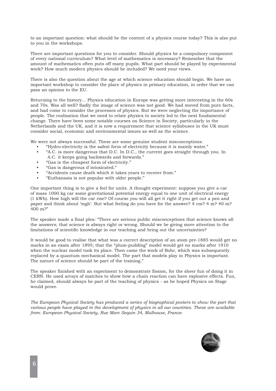to an important question: what should be the content of a physics course today? This is also put to you in the workshops.

There are important questions for you to consider. Should physics be a compulsory component of every national curriculum? What level of mathematics is necessary? Remember that the amount of mathematics often puts off many pupils. What part should be played by experimental work? How much modern physics should be included? We need your views.

There is also the question about the age at which science education should begin. We have an important workshop to consider the place of physics in primary education, in order that we can pass an opinion to the EU.

Returning to the history... Physics education in Europe was getting more interesting in the 60s and 70s. Was all well? Sadly the image of science was not good. We had moved from pure facts, and had come to consider the processes of physics. But we were neglecting the importance of people. The realisation that we need to relate physics to society led to the next fundamental change. There have been some notable courses on Science in Society, particularly in the Netherlands and the UK, and it is now a requirement that science syllabuses in the UK must consider social, economic and environmental issues as well as the science.

We were not always successful. These are some genuine student misconceptions:

- "Hydro-electricity is the safest form of electricity because it is mainly water."
- "A.C. is more dangerous that D.C. In D.C., the current goes straight through you. In A.C. it keeps going backwards and forwards."
- "Gas is the cheapest form of electricity."
- "Gas is dangerous if intoxicated."
- "Accidents cause death which it takes years to recover from."
- "Euthanasia is not popular with older people."

One important thing is to give a feel for units. A thought experiment: suppose you give a car of mass 1000 kg car some gravitational potential energy equal to one unit of electrical energy (1 kWh). How high will the car rise? Of course you will all get it right if you get out a pen and paper and think about 'mgh'. But what feeling do you have for the answer? 4 cm? 4 m? 40 m? 400 m?"

The speaker made a final plea: "There are serious public misconceptions that science knows all the answers; that science is always right or wrong. Should we be giving more attention to the limitations of scientific knowledge in our teaching and bring out the uncertainties?

It would be good to realise that what was a correct description of an atom pre-1885 would get no marks in an exam after 1895; that the "plum-pudding" model would get no marks after 1910 when the nuclear model took its place. Then came the work of Bohr, which was subsequently replaced by a quantum mechanical model. The part that models play in Physics is important. The nature of science should be part of the training."

The speaker finished with an experiment to demonstrate fission, for the sheer fun of doing it in CERN. He used arrays of matches to show how a chain reaction can have explosive effects. Fun, he claimed, should always be part of the teaching of physics - as he hoped Physics on Stage would prove.

*The European Physical Society has produced a series of biographical posters to show the part that various people have played in the development of physics in all our countries. These are available from: European Physical Society, Rue Marc Sequin 34, Mulhouse, France.*

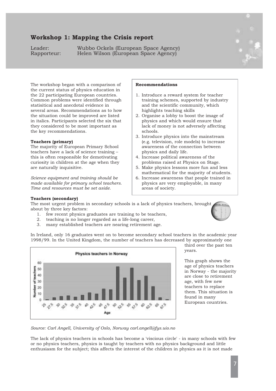# **Workshop 1: Mapping the Crisis report**

Leader: Wubbo Ockels (European Space Agency)<br>Rapporteur: Helen Wilson (European Space Agency) Helen Wilson (European Space Agency)



The workshop began with a comparison of the current status of physics education in the 22 participating European countries. Common problems were identified through statisitical and anecdotal evidence in several areas. Recommendations as to how the situation could be improved are listed in italics. Participants selected the six that they considered to be most important as the key recommendations.

#### **Teachers (primary)**

The majority of European Primary School teachers have a lack of science training – this is often responsible for demotivating curiosity in children at the age when they are naturally inquisitive.

*Science equipment and training should be made available for primary school teachers. Time and resources must be set aside.*

## **Recommendations**

- 1. Introduce a reward system for teacher training schemes, supported by industry and the scientific community, which highlights teaching skills
- 2. Organise a lobby to boost the image of physics and which would ensure that lack of money is not adversely affecting schools.
- 3. Introduce physics into the mainstream (e.g. television, role models) to increase awareness of the connection between physics and daily life.
- 4. Increase political awareness of the problems raised at Physics on Stage.
- 5. Make physics lessons more fun and less mathematical for the majority of students.
- 6. Increase awareness that people trained in physics are very employable, in many areas of society.

#### **Teachers (secondary)**

The most urgent problem in secondary schools is a lack of physics teachers, brought about by three key factors:

- 1. few recent physics graduates are training to be teachers,
- 2. teaching is no longer regarded as a life-long career,
- 3. many established teachers are nearing retirement age.

In Ireland, only 16 graduates went on to become secondary school teachers in the academic year 1998/99. In the United Kingdom, the number of teachers has decreased by approximately one



third over the past ten years.

This graph shows the age of physics teachers in Norway - the majority are close to retirement age, with few new teachers to replace them. This situation is found in many European countries.

*Source: Carl Angell, University of Oslo, Norway carl.angell@fys.uio.no*

The lack of physics teachers in schools has become a 'viscious circle' - in many schools with few or no physics teachers, physics is taught by teachers with no physics background and little enthusiasm for the subject; this affects the interest of the children in physics as it is not made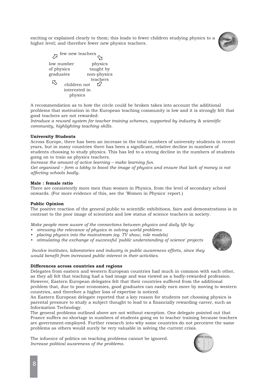exciting or explained clearly to them; this leads to fewer children studying physics to a higher level; and therefore fewer new physics teachers.



|            | few new teachers |             |
|------------|------------------|-------------|
|            | low number       | physics     |
| of physics |                  | taught by   |
| graduates  |                  | non-physics |
|            |                  | teachers    |
|            | children not     |             |
|            | interested in    |             |
|            | physics          |             |
|            |                  |             |

A recommendation as to how the circle could be broken takes into account the additional problems that motivation in the European teaching community is low and it is strongly felt that good teachers are not rewarded:

*Introduce a reward system for teacher training schemes, supported by industry & scientific community, highlighting teaching skills.*

## **University Students**

Across Europe, there has been an increase in the total numbers of university students in recent years, but in many countries there has been a significant, relative decline in numbers of students choosing to study physics. This has led to a strong decline in the numbers of students going on to train as physics teachers.

*Increase the amount of active learning – make learning fun.*

*Get organised – form a lobby to boost the image of physics and ensure that lack of money is not affecting schools badly.*

## **Male : female ratio**

There are consistently more men than women in Physics, from the level of secondary school onwards. (For more evidence of this, see the 'Women in Physics' report.)

## **Public Opinion**

The positive reaction of the general public to scientific exhibitions, fairs and demonstrations is in contrast to the poor image of scientists and low status of science teachers in society.

*Make people more aware of the connections between physics and daily life by:*

- *• stressing the relevance of physics in solving world problems*
- *• placing physics into the mainstream (eg. TV show, role models)*
- *• stimulating the exchange of successful 'public understanding of science' projects*



*Involve institutes, laboratories and industry in public awareness efforts, since they would benefit from increased public interest in their activities.*

## **Differences across countries and regions**

Delegates from eastern and western European countries had much in common with each other, as they all felt that teaching had a bad image and was viewed as a badly-rewarded profession. However, Eastern European delegates felt that their countries suffered from the additional problem that, due to poor economies, good graduates can easily earn more by moving to western countries, and therefore a higher loss of expertise is noticed.

An Eastern European delegate reported that a key reason for students not choosing physics is parental pressure to study a subject thought to lead to a financially rewarding career, such as Information Technology.

The general problems outlined above are not without exception. One delegate pointed out that France suffers no shortage in numbers of students going on to teacher training because teachers are government-employed. Further research into why some countries do not perceieve the same problems as others would surely be very valuable in solving the current crisis.

The infuence of politics on teaching problems cannot be ignored. *Increase political awareness of the problems.*

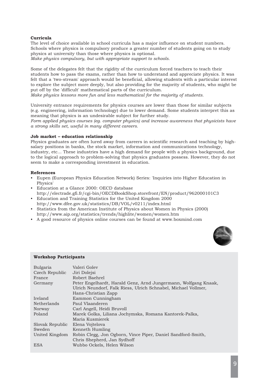## **Curricula**

The level of choice available in school curricula has a major influence on student numbers. Schools where physics is compulsory produce a greater number of students going on to study physics at university than those where physics is optional. *Make physics compulsory, but with appropriate support to schools.*

Some of the delegates felt that the rigidity of the curriculum forced teachers to teach their students how to pass the exams, rather than how to understand and appreciate physics. It was felt that a 'two-stream' approach would be beneficial, allowing students with a particular interest to explore the subject more deeply, but also providing for the majority of students, who might be put off by the 'difficult' mathematical parts of the curriculum.

*Make physics lessons more fun and less mathematical for the majority of students.*

University entrance requirements for physics courses are lower than those for similar subjects (e.g. engineering, information technology) due to lower demand. Some students interpret this as meaning that physics is an undesirable subject for further study.

*Form applied physics courses (eg. computer physics) and increase awareness that physicists have a strong skills set, useful in many different careers.*

## **Job market – education relationship**

Physics graduates are often lured away from careers in scientific research and teaching by highsalary positions in banks, the stock market, information and communications technology, industry, etc... These industries have a high demand for people with a physics background, due to the logical approach to problem-solving that physics graduates possess. However, they do not seem to make a corresponding investment in education.

## **References**

- Eupen (European Physics Education Network) Series: 'Inquiries into Higher Education in Physics'
- Education at a Glance 2000: OECD database http://electrade.gfi.fr/cgi-bin/OECDBookShop.storefront/EN/product/962000101C3
- Education and Training Statistics for the United Kingdom 2000 http://www.dfee.gov.uk/statistics/DB/VOL/v0211/index.html
- Statistics from the American Institute of Physics about Women in Physics (2000) http://www.aip.org/statistics/trends/highlite/women/women.htm
- A good resource of physics online courses can be found at www.boxmind.com



## **Workshop Participants**

| Bulgaria<br>Czech Republic<br>France | Valeri Golev<br>Jiri Dolejsi<br>Robert Baehrel                                                                                                           |
|--------------------------------------|----------------------------------------------------------------------------------------------------------------------------------------------------------|
| Germany                              | Peter Engelhardt, Harald Genz, Arnd Jungermann, Wolfgang Knaak,<br>Ulrich Neundorf, Falk Riess, Ulrich Schnabel, Michael Vollmer,<br>Hans-Christian Zapp |
| Ireland                              | Eammon Cunningham                                                                                                                                        |
| <b>Netherlands</b>                   | Paul Vlaanderen                                                                                                                                          |
| Norway                               | Carl Angell, Heidi Bruvoll                                                                                                                               |
| Poland                               | Marek Golka, Liliana Jochymska, Romana Kantorek-Palka,<br>Maria Kusmierek                                                                                |
| Slovak Republic                      | Elena Vojtelova                                                                                                                                          |
| Sweden                               | Kenneth Humling                                                                                                                                          |
| United Kingdom                       | Robin Clegg, Jon Ogborn, Vince Piper, Daniel Sandford-Smith,<br>Chris Shepherd, Jan Sydhoff                                                              |
| ESA                                  | Wubbo Ockels, Helen Wilson                                                                                                                               |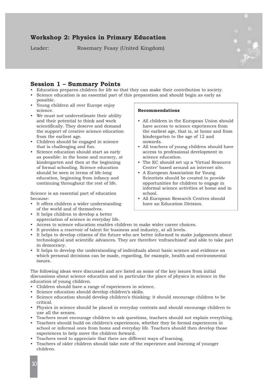# **Workshop 2: Physics in Primary Education**

Leader: Rosemary Feasy (United Kingdom)



## **Session 1 – Summary Points**

- Education prepares children for life so that they can make their contribution to society.
- Science education is an essential part of this preparation and should begin as early as possible.
- Young children all over Europe enjoy science.
- We must not underestimate their ability and their potential to think and work scientifically. They deserve and demand the support of creative science education from the earliest age.
- Children should be engaged in science that is challenging and fun.
- Science education should start as early as possible: in the home and nursery, at kindergarten and then at the beginning of formal schooling. Science education should be seen in terms of life-long education, beginning from infancy and continuing throughout the rest of life.

Science is an essential part of education because:

- It offers children a wider understanding of the world and of themselves.
- It helps children to develop a better appreciation of science in everyday life.

## • Access to science education enables children to make wider career choices.

- It provides a reservoir of talent for business and industry, at all levels.
- It helps to develop citizens of the future who are better informed to make judgements about technological and scientific advances. They are therefore 'enfranchised' and able to take part in democracy.
- It helps to develop the understanding of individuals about basic science and evidence on which personal decisions can be made, regarding, for example, health and environmental issues.

The following ideas were discussed and are listed as some of the key issues from initial discussions about science education and in particular the place of physics in science in the education of young children.

- Children should have a range of experiences in science.
- Science education should develop children's skills.
- Science education should develop children's thinking: it should encourage children to be critical.
- Physics in science should be placed in everyday contexts and should encourage children to use all the senses.
- Teachers must encourage children to ask questions, teachers should not explain everything.
- Teachers should build on children's experiences, whether they be formal experiences in school or informal ones from home and everyday life. Teachers should then develop those experiences to help move the children forward.
- Teachers need to appreciate that there are different ways of learning.
- Teachers of older children should take note of the experience and learning of younger children.

## **Recommendations**

- All children in the European Union should have access to science experiences from the earliest age, that is, at home and from kindergarten to the age of 12 and onwards.
- All teachers of young children should have access to professional development in science education.
- The EC should set up a 'Virtual Resource Centre' based around an internet site.
- A European Association for Young Scientists should be created to provide opportunities for children to engage in informal science activities at home and in school.
- All European Research Centres should have an Education Division.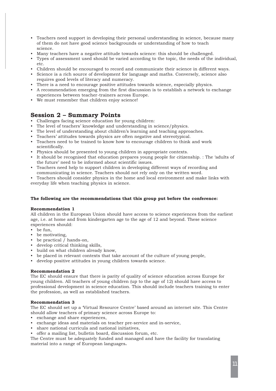- Teachers need support in developing their personal understanding in science, because many of them do not have good science backgrounds or understanding of how to teach science.
- Many teachers have a negative attitude towards science: this should be challenged.
- Types of assessment used should be varied according to the topic, the needs of the individual, etc.
- Children should be encouraged to record and communicate their science in different ways.
- Science is a rich source of development for language and maths. Conversely, science also requires good levels of literacy and numeracy.
- There is a need to encourage positive attitudes towards science, especially physics.
- A recommendation emerging from the first discussion is to establish a network to exchange experiences between teacher-trainers across Europe.
- We must remember that children enjoy science!

# **Session 2 – Summary Points**

- Challenges facing science education for young children:
- The level of teachers' knowledge and understanding in science/physics.
- The level of understanding about children's learning and teaching approaches.
- Teachers' attitudes towards physics are often negative and stereotypical.
- Teachers need to be trained to know how to encourage children to think and work scientifically.
- Physics should be presented to young children in appropriate contexts.
- It should be recognised that education prepares young people for citizenship. : The 'adults of the future' need to be informed about scientific issues.
- Teachers need help to support children in developing different ways of recording and communicating in science. Teachers should not rely only on the written word.

• Teachers should consider physics in the home and local environment and make links with everyday life when teaching physics in science.

## **The following are the recommendations that this group put before the conference:**

## **Recommendation 1**

All children in the European Union should have access to science experiences from the earliest age, i.e. at home and from kindergarten age to the age of 12 and beyond. These science experiences should:

- be fun,
- be motivating,
- be practical / hands-on,
- develop critical thinking skills,
- build on what children already know,
- be placed in relevant contexts that take account of the culture of young people,
- develop positive attitudes in young children towards science.

## **Recommendation 2**

The EC should ensure that there is parity of quality of science education across Europe for young children. All teachers of young children (up to the age of 12) should have access to professional development in science education. This should include teachers training to enter the profession, as well as established teachers.

#### **Recommendation 3**

The EC should set up a 'Virtual Resource Centre' based around an internet site. This Centre should allow teachers of primary science across Europe to:

- exchange and share experiences,
- exchange ideas and materials on teacher pre-service and in-service,
- share national curricula and national initiatives,
- offer a mailing list, bulletin board, discussion forum, etc.

The Centre must be adequately funded and managed and have the facility for translating material into a range of European languages**.**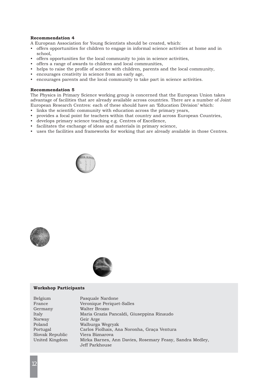## **Recommendation 4**

A European Association for Young Scientists should be created, which:

- offers opportunities for children to engage in informal science activities at home and in school,
- offers opportunities for the local community to join in science activities,
- offers a range of awards to children and local communities,
- helps to raise the profile of science with children, parents and the local community,
- encourages creativity in science from an early age,
- encourages parents and the local community to take part in science activities.

#### **Recommendation 5**

The Physics in Primary Science working group is concerned that the European Union takes advantage of facilities that are already available across countries. There are a number of Joint European Research Centres: each of these should have an 'Education Division' which:

- links the scientific community with education across the primary years,
- provides a focal point for teachers within that country and across European Countries,
- develops primary science teaching e.g. Centres of Excellence,
- facilitates the exchange of ideas and materials in primary science,
- uses the facilities and frameworks for working that are already available in those Centres.







### **Workshop Participants**

| Belgium         | Pasquale Nardone                                         |
|-----------------|----------------------------------------------------------|
| France          | Veronique Periquet-Salles                                |
| Germany         | Walter Brozzo                                            |
| Italy           | Maria Grazia Pancaldi, Giuseppina Rinaudo                |
| Norway          | Geir Arge                                                |
| Poland          | Walburga Wegryzk                                         |
| Portugal        | Carlos Fiolhais, Ana Noronha, Graça Ventura              |
| Slovak Republic | Viera Biznarova                                          |
| United Kingdom  | Mirka Barnes, Ann Davies, Rosemary Feasy, Sandra Medley, |
|                 | Jeff Parkhouse                                           |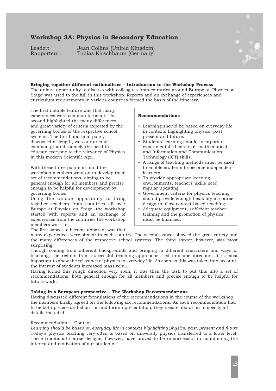# **Workshop 3A: Physics in Secondary Education**

Leader: Jean Collins (United Kingdom)<br>Rapporteur: Tobias Kirschbaum (Germany) Tobias Kirschbaum (Germany)



## **Bringing together different nationalities – Introduction to the Workshop Process**

The unique opportunity to discuss with colleagues from countries around Europe at 'Physics on Stage' was used to the full in this workshop. Reports and an exchange of experiences and curriculum requirements in various countries formed the basis of the itinerary.

The first notable feature was that many experiences were common to us all. The second highlighted the many differences and great variety of criteria expected by the governing bodies of the respective school systems. The third and final point, discussed at length, was our area of common ground, namely the need to educate everyone to the relevance of Physics in this modern Scientific Age.

With these three points in mind the workshop members went on to develop their set of recommendations, aiming to be general enough for all members and precise enough to be helpful for development by governing bodies.

Using the unique opportunity to bring together teachers from countries all over Europe at Physics on Stage, the workshop started with reports and an exchange of experiences from the countries the workshop members work in.

## **Recommendations**

- Learning should be based on everyday life in contexts highlighting physics, past, present and future.
- Students' learning should incorporate experimental, theoretical, mathematical and Information and Communication Technology (ICT) skills.
- A range of teaching methods must be used to enable students to become independent learners.
- To provide appropriate learning environments, teachers' skills need regular updating.
- Government criteria for physics teaching should provide enough flexibility in course design to allow context-based teaching.
- Adequate equipment, sufficient teacher training and the promotion of physics must be financed.

The first aspect to become apparent was that

many experiences were similar in each country. The second aspect showed the great variety and the many differences of the respective school systems. The third aspect, however, was most surprising:

Though coming from different backgrounds and bringing in different characters and ways of teaching, the results from successful teaching approaches led into one direction: It is most important to show the relevance of physics to everyday life. As soon as this was taken into account, the interest of students increased massively.

Having found this rough direction very soon, it was then the task to put this into a set of recommendations, both general enough for all members and precise enough to be helpful for future work.

## **Taking in a European perspective – The Workshop Recommendations**

Having discussed different formulations of the recommendations in the course of the workshop, the members finally agreed on the following six recommendations. As each recommendation had to be both precise and short for auditorium presentation, they need elaboration to specify all details included.

#### Recommendation 1: Content

*Learning should be based on everyday life in contexts highlighting physics, past, present and future* Today's physics teaching very often is based on university physics transferred to a lower level. These traditional course designs, however, have proved to be unsuccessful in maintaining the interest and motivation of our students.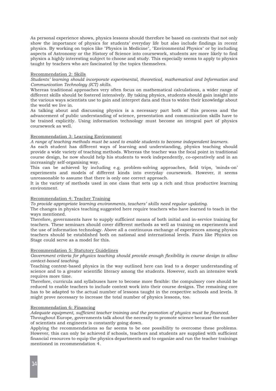As personal experience shows, physics lessons should therefore be based on contexts that not only show the importance of physics for students' everyday life but also include findings in recent physics. By working on topics like "Physics in Medicine", "Environmental Physics" or by including aspects of Astronomy or the History of Science into coursework, students are more likely to find physics a highly interesting subject to choose and study. This especially seems to apply to physics taught by teachers who are fascinated by the topics themselves.

### Recommendation 2: Skills

*Students' learning should incorporate experimental, theoretical, mathematical and Information and Communication Technology (ICT) skills.*

Whereas traditional approaches very often focus on mathematical calculations, a wider range of different skills should be fostered intensively. By taking physics, students should gain insight into the various ways scientists use to gain and interpret data and thus to widen their knowledge about the world we live in.

As talking about and discussing physics is a necessary part both of this process and the advancement of public understanding of science, presentation and communication skills have to be trained explicitly. Using information technology must become an integral part of physics coursework as well.

## Recommendation 3: Learning Environment

*A range of teaching methods must be used to enable students to become independent learners.*

As each student has different ways of learning and understanding, physics teaching should provide a wide variety of teaching methods. Whereas the teacher was the focal point in traditional course design, he now should help his students to work independently, co-operatively and in an increasingly self-organising way.

This can be achieved by including e.g. problem-solving approaches, field trips, 'minds-on' experiments and models of different kinds into everyday coursework. However, it seems unreasonable to assume that there is only one correct approach.

It is the variety of methods used in one class that sets up a rich and thus productive learning environment.

### Recommendation 4: Teacher Training

*To provide appropriate learning environments, teachers' skills need regular updating.* 

The changes in physics teaching suggested here require teachers who have learned to teach in the ways mentioned.

Therefore, governments have to supply sufficient means of both initial and in-service training for teachers. These seminars should cover different methods as well as training on experiments and the use of information technology. Above all a continuous exchange of experiences among physics teachers should be established both on national and international levels. Fairs like Physics on Stage could serve as a model for this.

#### Recommendation 5: Statutory Guidelines

## *Government criteria for physics teaching should provide enough flexibility in course design to allow context-based teaching.*

Teaching context-based physics in the way outlined here can lead to a deeper understanding of science and to a greater scientific literacy among the students. However, such an intensive work requires more time.

Therefore, curricula and syllabuses have to become more flexible: the compulsory core should be reduced to enable teachers to include context work into their course designs. The remaining core has to be adapted to the actual number of lessons taught in the respective schools and levels. It might prove necessary to increase the total number of physics lessons, too.

### Recommendation 6: Financing

*Adequate equipment, sufficient teacher training and the promotion of physics must be financed.*

Throughout Europe, governments talk about the necessity to promote science because the number of scientists and engineers is constantly going down.

Applying the recommendations so far seems to be one possibility to overcome these problems. However, this can only be achieved if schools, teachers and students are supplied with sufficient financial resources to equip the physics departments and to organize and run the teacher trainings mentioned in recommendation 4.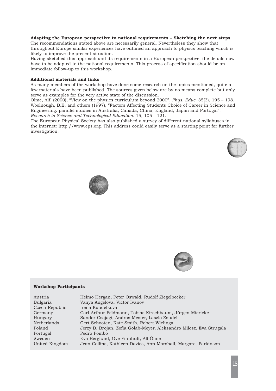#### **Adapting the European perspective to national requirements – Sketching the next steps**

The recommendations stated above are necessarily general. Nevertheless they show that throughout Europe similar experiences have outlined an approach to physics teaching which is likely to improve the present situation.

Having sketched this approach and its requirements in a European perspective, the details now have to be adapted to the national requirements. This process of specification should be an immediate follow-up to this workshop.

### **Additional materials and links**

As many members of the workshop have done some research on the topics mentioned, quite a few materials have been published. The sources given below are by no means complete but only serve as examples for the very active state of the discussion.

Ölme, Alf, (2000), "View on the physics curriculum beyond 2000". *Phys. Educ*. 35(3), 195 – 198. Woolnough, B.E. and others (1997), "Factors Affecting Students Choice of Career in Science and Engineering: parallel studies in Australia, Canada, China, England, Japan and Portugal". *Research in Science and Technological Education*. 15, 105 - 121.

The European Physical Society has also published a survey of different national syllabuses in the internet: http://www.eps.org. This address could easily serve as a starting point for further investigation.







#### **Workshop Participants**

| Austria        | Heimo Hergan, Peter Oswald, Rudolf Ziegelbecker                     |
|----------------|---------------------------------------------------------------------|
| Bulgaria       | Vanya Angelova, Victor Ivanov                                       |
| Czech Republic | Irena Koudelkova                                                    |
| Germany        | Carl-Arthur Feldmann, Tobias Kirschbaum, Jürgen Miericke            |
| Hungary        | Sandor Csajagi, Andras Mester, Laszlo Zsudel                        |
| Netherlands    | Gert Schooten, Kate Smith, Robert Wielinga                          |
| Poland         | Jerzy B. Brojan, Zofia Golab-Meyer, Aleksandro Milosz, Eva Strugala |
| Portugal       | Pedro Pombo                                                         |
| Sweden         | Eva Berglund, Ove Finnhult, Alf Ölme                                |
| United Kingdom | Jean Collins, Kathleen Davies, Ann Marshall, Margaret Parkinson     |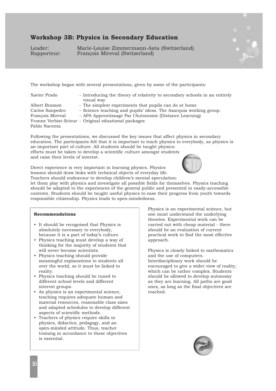# **Workshop 3B: Physics in Secondary Education**

Leader: Marie-Louise Zimmermann-Asta (Switzerland) François Mireval (Switzerland)



| Xavier Prado                                                          | - Introducing the theory of relativity to secondary schools in an entirely<br>visual way                                                                                                                                                      |
|-----------------------------------------------------------------------|-----------------------------------------------------------------------------------------------------------------------------------------------------------------------------------------------------------------------------------------------|
| Albert Bramon<br>Carlos Sanpedro<br>Francois Mireval<br>Pablo Nacenta | - The simplest experiments that pupils can do at home<br>- Science teaching and pupils' ideas. The Axarquia working group.<br>- APA Apprentissage Par l'Autonomie (Distance Learning)<br>Yvonne Verbist-Scieur - Original eduational packages |
|                                                                       |                                                                                                                                                                                                                                               |

Following the presentations, we discussed the key issues that affect physics in secondary education. The participants felt that it is important to teach physics to everybody, as physics is an important part of culture. All students should be taught physics: efforts must be taken to develop a scientific culture amongst students and raise their levels of interest.

Direct experience is very important in learning physics. Physics lessons should draw links with technical objects of everyday life. Teachers should endeavour to develop children's mental speculation:



should be adapted to the experiences of the general public and presented in easily-accessible contexts. Students should be taught useful physics to ease their progress from youth towards responsible citizenship. Physics leads to open-mindedness.

#### **Recommendations**

- It should be recognised that Physics is absolutely necessary to everybody, because it is a part of today's culture.
- Physics teaching must develop a way of thinking for the majority of students that will never become scientists.
- Physics teaching should provide meaningful explanations to students all over the world, so it must be linked to reality.
- Physics teaching should be tuned to different school levels and different interest groups.
- As physics is an experimental science, teaching requires adequate human and material resources, reasonable class sizes and adapted schedules to develop different aspects of scientific methods.
- Teachers of physics require skills in physics, didactics, pedagogy, and an open-minded attitude. Thus, teacher training in accordance to those objectives is essential.

Physics is an experimental science, but one must understand the underlying theories. Experimental work can be carried out with cheap material - there should be an evaluation of current practical work to find the most effective approach.

Physics is closely linked to mathematics and the use of computers. Interdisciplinary work should be encouraged to give a wider view of reality, which can be rather complex. Students should be allowed to develop autonomy as they are learning. All paths are good ones, as long as the final objectives are reached.

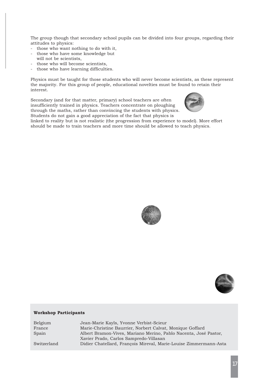The group though that secondary school pupils can be divided into four groups, regarding their attitudes to physics:

- those who want nothing to do with it,
- those who have some knowledge but
- will not be scientists, - those who will become scientists,
- those who have learning difficulties.

Physics must be taught for those students who will never become scientists, as these represent the majority. For this group of people, educational novelties must be found to retain their interest.

Secondary (and for that matter, primary) school teachers are often insufficiently trained in physics. Teachers concentrate on ploughing through the maths, rather than convincing the students with physics. Students do not gain a good appreciation of the fact that physics is



linked to reality but is not realistic (the progression from experience to model). More effort should be made to train teachers and more time should be allowed to teach physics.





## **Workshop Participants**

| Jean-Marie Kayls, Yvonne Verbist-Scieur                           |
|-------------------------------------------------------------------|
| Marie-Christine Baurrier, Norbert Calvat, Monique Goffard         |
| Albert Bramon-Vives, Mariano Merino, Pablo Nacenta, José Pastor,  |
| Xavier Prado, Carlos Sampredo-Villasan                            |
| Didier Chatellard, Francois Mireval, Marie-Louise Zimmermann-Asta |
|                                                                   |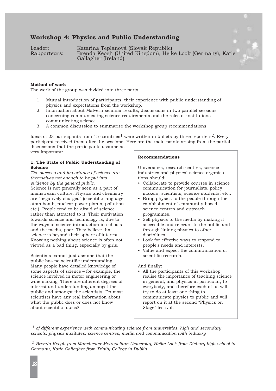# **Workshop 4: Physics and Public Understanding**

Leader: Katarina Teplanová (Slovak Republic)<br>Rapporteurs: Brenda Keogh (United Kingdom), Heil Brenda Keogh (United Kingdom), Heike Look (Germany), Katie Gallagher (Ireland)

### **Method of work**

The work of the group was divided into three parts:

- 1. Mutual introduction of participants, their experience with public understanding of physics and expectations from the workshop.
- 2. Information about Malvern seminar results, discussions in two parallel sessions concerning communicating science requirements and the roles of institutions communicating science.
- 3. A common discussion to summarise the workshop group recommendations.

Ideas of 23 participants from 15 countries<sup>1</sup> were written in bullets by three reporters<sup>2</sup>. Every participant received them after the sessions. Here are the main points arising from the partial discussions that the participants assume as

very important:

## **1. The State of Public Understanding of Science**

*The success and importance of science are themselves not enough to be put into evidence by the general public.*

Science is not generally seen as a part of mainstream culture. Physics and chemistry are "negatively charged" (scientific language, atom bomb, nuclear power plants, pollution etc.). People tend to be afraid of science rather than attracted to it. Their motivation towards science and technology is, due to the ways of science introduction in schools and the media, poor. They believe that science is beyond their sphere of interest. Knowing nothing about science is often not viewed as a bad thing, especially by girls.

Scientists cannot just assume that the public has no scientific understanding. Many people have detailed knowledge of some aspects of science – for example, the science involved in motor engineering or wine making. There are different degrees of interest and understanding amongst the public and amongst the scientists. Do most scientists have any real information about what the public does or does not know about scientific topics?

#### **Recommendations**

Universities, research centres, science industries and physical science organisations should:

- Collaborate to provide courses in science communication for journalists, policy makers, scientists, science students, etc..
- Bring physics to the people through the establishment of community-based science centres and outreach programmes.
- Sell physics to the media by making it accessible and relevant to the public and through linking physics to other disciplines.
- Look for effective ways to respond to people's needs and interests.
- Value and expect the communication of scientific research.

#### And finally:

• All the participants of this workshop realise the importance of teaching science in general, and physics in particular, to everybody, and therefore each of us will try to do at least one thing to communicate physics to public and will report on it at the second "Physics on Stage" festival.

*1 of different experience with communicating science from universities, high and secondary schools, physics institutes, science centres, media and communication with industry*

*2 Brenda Keogh from Manchester Metropolitan University, Heike Look from Dieburg high school in Germany, Katie Gallagher from Trinity College in Dublin*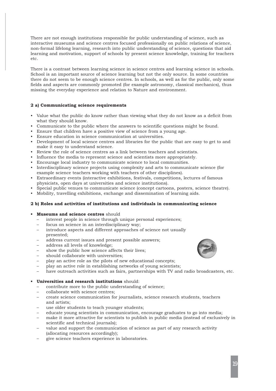There are not enough institutions responsible for public understanding of science, such as interactive museums and science centres focused professionally on public relations of science, non-formal lifelong learning, research into public understanding of science, questions that aid learning and motivation, support of schools by present science knowledge, training for teachers etc.

There is a contrast between learning science in science centres and learning science in schools. School is an important source of science learning but not the only source. In some countries there do not seem to be enough science centres. In schools, as well as for the public, only some fields and aspects are commonly promoted (for example astronomy, classical mechanics), thus missing the everyday experience and relation to Nature and environment.

## **2 a) Communicating science requirements**

- Value what the public do know rather than viewing what they do not know as a deficit from what they should know.
- Communicate to the public where the answers to scientific questions might be found.
- Ensure that children have a positive view of science from a young age.
- Ensure education in science communication at universities.
- Development of local science centres and libraries for the public that are easy to get to and make it easy to understand science.
- Review the role of science centres as a link between teachers and scientists.
- Influence the media to represent science and scientists more appropriately.
- Encourage local industry to communicate science to local communities.
- Interdisciplinary science projects using complexity and arts to communicate science (for example science teachers working with teachers of other disciplines).
- Extraordinary events (interactive exhibitions, festivals, competitions, lectures of famous physicists, open days at universities and science institutions).
- Special public venues to communicate science (concept cartoons, posters, science theatre).
- Mobility, travelling exhibitions, exchange and dissemination of learning aids.

#### **2 b) Roles and activities of institutions and individuals in communicating science**

- **• Museums and science centres** should
	- interest people in science through unique personal experiences;
	- focus on science in an interdisciplinary way;
	- introduce aspects and different approaches of science not usually presented;
	- address current issues and present possible answers;
	- address all levels of knowledge;
	- show the public how science affects their lives;
	- should collaborate with universities;
	- play an active role as the pilots of new educational concepts;
	- play an active role in establishing networks of young scientists;
	- have outreach activities such as fairs, partnerships with TV and radio broadcasters, etc.

#### **• Universities and research institutions** should:

- contribute more to the public understanding of science;
- collaborate with science centres;
- create science communication for journalists, science research students, teachers and artists;
- use older students to teach younger students;
- educate young scientists in communication, encourage graduates to go into media;
- make it more attractive for scientists to publish in public media (instead of exclusively in scientific and technical journals);
- value and support the communication of science as part of any research activity (allocating resources accordingly);
- give science teachers experience in laboratories.

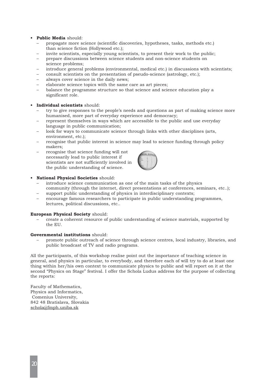## **• Public Media** should:

- propagate more science (scientific discoveries, hypotheses, tasks, methods etc.) than science fiction (Hollywood etc.);
- invite scientists, especially young scientists, to present their work to the public;
- prepare discussions between science students and non-science students on science problems;
- introduce general problems (environmental, medical etc.) in discussions with scientists;
- consult scientists on the presentation of pseudo-science (astrology, etc.);
- always cover science in the daily news;
- elaborate science topics with the same care as art pieces;
- balance the programme structure so that science and science education play a significant role.

## **• Individual scientists** should:

- try to give responses to the people's needs and questions as part of making science more humanised, more part of everyday experience and democracy;
- represent themselves in ways which are accessible to the public and use everyday language in public communication;
- look for ways to communicate science through links with other disciplines (arts, environment, etc.);
- recognise that public interest in science may lead to science funding through policy makers;
- recognise that science funding will not necessarily lead to public interest if scientists are not sufficiently involved in the public understanding of science.



- **• National Physical Societies** should:
	- introduce science communication as one of the main tasks of the physics community (through the internet, direct presentations at conferences, seminars, etc..); support public understanding of physics in interdisciplinary contexts;
	- encourage famous researchers to participate in public understanding programmes, lectures, political discussions, etc..

### **European Physical Society** should:

– create a coherent resource of public understanding of science materials, supported by the EU.

## **Governmental institutions** should:

– promote public outreach of science through science centres, local industry, libraries, and public broadcast of TV and radio programs.

All the participants, of this workshop realise point out the importance of teaching science in general, and physics in particular, to everybody, and therefore each of will try to do at least one thing within her/his own context to communicate physics to public and will report on it at the second "Physics on Stage" festival. I offer the Schola Ludus address for the purpose of collecting the reports:

Faculty of Mathematics, Physics and Informatics, Comenius University, 842 48 Bratislava, Slovakia schola@fmph.uniba.sk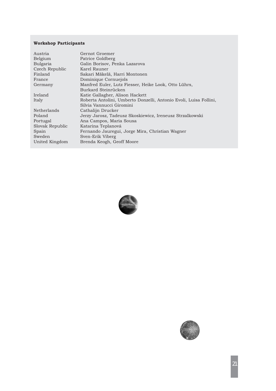## **Workshop Participants**

| Austria         | Gernot Groemer                                                    |
|-----------------|-------------------------------------------------------------------|
| Belgium         | Patrice Goldberg                                                  |
| Bulgaria        | Galin Borisov, Penka Lazarova                                     |
| Czech Republic  | Karel Rauner                                                      |
| Finland         | Sakari Mäkelä, Harri Montonen                                     |
| France          | Dominique Cornuejols                                              |
| Germany         | Manfred Euler, Lutz Fiesser, Heike Look, Otto Lührs,              |
|                 | Burkard Steinrücken                                               |
| Ireland         | Katie Gallagher, Alison Hackett                                   |
| Italy           | Roberta Antolini, Umberto Donzelli, Antonio Evoli, Luisa Follini, |
|                 | Silvia Vannucci Giromini                                          |
| Netherlands     | Cathalijn Drucker                                                 |
| Poland          | Jerzy Jarosz, Tadeusz Skoskiewicz, Ireneusz Strzalkowski          |
| Portugal        | Ana Campos, Maria Sousa                                           |
| Slovak Republic | Katarina Teplanová                                                |
| Spain           | Fernando Jauregui, Jorge Mira, Christian Wagner                   |
| Sweden          | Sven-Erik Viberg                                                  |
| United Kingdom  | Brenda Keogh, Geoff Moore                                         |



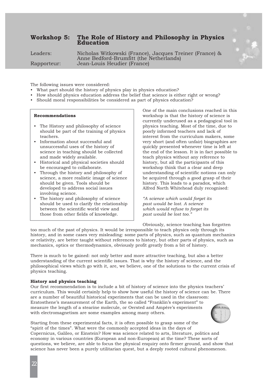# **Workshop 5: The Role of History and Philosophy in Physics Education**



Leaders: Nicholas Witkowski (France), Jacques Treiner (France) & Anne Bedford-Brumfitt (the Netherlands) Rapporteur: Jean-Louis Heudier (France)

The following issues were considered:

- What part should the history of physics play in physics education?
- How should physics education address the belief that science is either right or wrong?
- Should moral responsibilities be considered as part of physics education?

#### **Recommendations**

- The History and philosophy of science should be part of the training of physics teachers.
- Information about successful and unsuccessful uses of the history of science in teaching should be collected and made widely available.
- Historical and physical societies should be encouraged to collaborate.
- Through the history and philosophy of science, a more realistic image of science should be given. Tools should be developed to address social issues involving science.
- The history and philosophy of science should be used to clarify the relationship between the scientific world view and those from other fields of knowledge.

One of the main conclusions reached in this workshop is that the history of science is currently underused as a pedagogical tool in physics teaching. Most of the time, due to poorly informed teachers and lack of interest from the curriculum makers, some very short (and often unfair) biographies are quickly presented whenever time is left at the end of the lesson. It is in fact possible to teach physics without any reference to history, but all the participants of this workshop think that a clear and deep understanding of scientific notions can only be acquired through a good grasp of their history. This leads to a paradox, which Alfred North Whitehead duly recognised:

*"A science which would forget its past would be lost. A science which would refuse to forget its past would be lost too."* 

Obviously, science teaching has forgotten too much of the past of physics. It would be irresponsible to teach physics only through its history, and in some cases very misleading: some parts of physics, such as quantum mechanics or relativity, are better taught without references to history, but other parts of physics, such as mechanics, optics or thermodynamics, obviously profit greatly from a bit of history.

There is much to be gained: not only better and more attractive teaching, but also a better understanding of the current scientific issues. That is why the history of science, and the philosophical views which go with it, are, we believe, one of the solutions to the current crisis of physics teaching.

#### **History and physics teaching**

Our first recommendation is to include a bit of history of science into the physics teachers' curriculum. This would certainly help to show how useful the history of science can be. There are a number of beautiful historical experiments that can be used in the classroom: Eratosthene's measurement of the Earth, the so called "Franklin's experiment" to measure the length of a stearine molecule, or Oersted and Ampère's experiments with electromagnetism are some examples among many others.



Starting from these experimental facts, it is often possible to grasp some of the "spirit of the times". What were the commonly accepted ideas in the days of Copernicus, Galileo, or Einstein? How was science related to arts, literature, politics and economy in various countries (European and non-European) at the time? These sorts of questions, we believe, are able to focus the physical enquiry onto firmer ground, and show that science has never been a purely utilitarian quest, but a deeply rooted cultural phenomenon.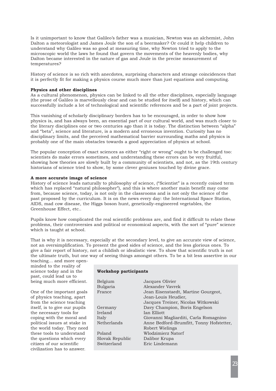Is it unimportant to know that Galileo's father was a musician, Newton was an alchemist, John Dalton a meteorologist and James Joule the son of a beermaker? Or could it help children to understand why Galileo was so good at measuring time, why Newton tried to apply to the microscopic world the laws he found that govern the movements of the heavenly bodies, why Dalton became interested in the nature of gas and Joule in the precise measurement of temperatures?

History of science is so rich with anecdotes, surprising characters and strange coincidences that it is perfectly fit for making a physics course much more than just equations and computing.

## **Physics and other disciplines**

As a cultural phenomenon, physics can be linked to all the other disciplines, especially language (the prose of Galileo is marvellously clear and can be studied for itself) and history, which can successfully include a lot of technological and scientific references and be a part of joint projects.

This vanishing of scholarly disciplinary borders has to be encouraged, in order to show how physics is, and has always been, an essential part of our cultural world, and was much closer to the literary disciplines one or two centuries ago than it is today. The distinction between "alpha" and "beta", science and literature, is a modern and erroneous invention. Curiosity has no disciplinary limits, and the perceived mathematical barrier surrounding maths and physics is probably one of the main obstacles towards a good appreciation of physics at school.

The popular conception of exact sciences as either "right or wrong" ought to be challenged too: scientists do make errors sometimes, and understanding these errors can be very fruitful, showing how theories are slowly built by a community of scientists, and not, as the 19th century historians of science tried to show, by some clever geniuses touched by divine grace.

## **A more accurate image of science**

History of science leads naturally to philosophy of science, ("Scientist" is a recently coined term which has replaced "natural philosopher"), and this is where another main benefit may come from, because science, today, is not only in the classrooms and is not only the science of the past proposed by the curriculum. It is on the news every day: the International Space Station, AIDS, mad cow disease, the Higgs boson hunt, genetically-engineered vegetables, the Greenhouse Effect, etc..

Pupils know how complicated the real scientific problems are, and find it difficult to relate these problems, their controversies and political or economical aspects, with the sort of "pure" science which is taught at school.

That is why it is necessary, especially at the secondary level, to give an accurate view of science, not an oversimplification. To present the good sides of science, and the less glorious ones. To give a fair report of history, not a childish or idealistic view. To show that scientific truth is not the ultimate truth, but one way of seeing things amongst others. To be a bit less assertive in our

teaching… and more openminded to the reality of science today and in the past, could lead us to being much more efficient.

One of the important goals of physics teaching, apart from the science teaching itself, is to give our pupils the necessary tools for coping with the moral and political issues at stake in the world today. They need these tools to understand the questions which every citizen of our scientific civilization has to answer.

## **Workshop participants**

| Belgium         | Jacques Olivier                          |
|-----------------|------------------------------------------|
| Bulgaria        | Alexander Vavrek                         |
| France          | Jean Eisenstaedt, Martine Gourgeot,      |
|                 | Jean-Louis Heudier,                      |
|                 | Jacques Treiner, Nicolas Witkowski       |
| Germany         | Davy Champion, Boris Engelson            |
| Ireland         | Ian Elliott                              |
| Italy           | Giovanni Magliarditi, Carla Romagnino    |
| Netherlands     | Anne Bedford-Brumfitt, Tonny Hofstetter, |
|                 | Robert Wielinga                          |
| Poland          | Wlodzimierz Natorf                       |
| Slovak Republic | Dalibor Krupa                            |
| Switzerland     | Eric Lindemann                           |
|                 |                                          |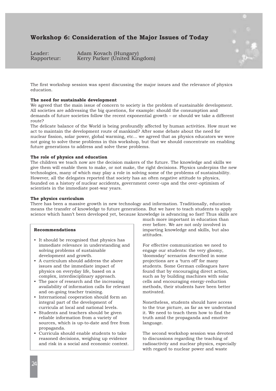# **Workshop 6: Consideration of the Major Issues of Today**

Leader: Adam Kovach (Hungary)<br>Rapporteur: Kerry Parker (United Kir Kerry Parker (United Kingdom)



The first workshop session was spent discussing the major issues and the relevance of physics education.

#### **The need for sustainable development**

We agreed that the main issue of concern to society is the problem of sustainable development. All societies are addressing the big questions, for example: should the consumption and demands of future societies follow the recent exponential growth – or should we take a different route?

The delicate balance of the World is being profoundly affected by human activities. How must we act to maintain the development route of mankind? After some debate about the need for nuclear fission, solar power, global warming, etc... we agreed that as physics educators we were not going to solve these problems in this workshop, but that we should concentrate on enabling future generations to address and solve these problems.

## **The role of physics and education**

The children we teach now are the decision makers of the future. The knowledge and skills we give them will enable them to make, or not make, the right decisions. Physics underpins the new technologies, many of which may play a role in solving some of the problems of sustainability. However, all the delegates reported that society has an often negative attitude to physics, founded on a history of nuclear accidents, government cover-ups and the over-optimism of scientists in the immediate post-war years.

#### **The physics curriculum**

There has been a massive growth in new technology and information. Traditionally, education means the transfer of knowledge to future generations. But we have to teach students to apply science which hasn't been developed yet, because knowledge is advancing so fast! Thus skills are

#### **Recommendations**

- It should be recognised that physics has immediate relevance in understanding and solving problems of sustainable development and growth.
- A curriculum should address the above issues and the immediate impact of physics on everyday life, based on a complex, interdisciplinary approach.
- The pace of research and the increasing availability of information calls for relevant and on-going teacher training.
- International cooperation should form an integral part of the development of curricula at local and national levels.
- Students and teachers should be given reliable information from a variety of sources, which is up-to-date and free from propaganda.
- Curricula should enable students to take reasoned decisions, weighing up evidence and risk in a social and economic context.

much more important in education than ever before. We are not only involved in imparting knowledge and skills, but also attitudes.

For effective communication we need to engage our students: the very gloomy, 'doomsday' scenarios described in some projections are a 'turn off' for many students. Some German colleagues have found that by encouraging direct action, such as by building machines with solar cells and encouraging energy-reduction methods, their students have been better motivated.

Nonetheless, students should have access to the true picture, as far as we understand it. We need to teach them how to find the truth amid the propaganda and emotive language.

The second workshop session was devoted to discussions regarding the teaching of radioactivity and nuclear physics, especially with regard to nuclear power and waste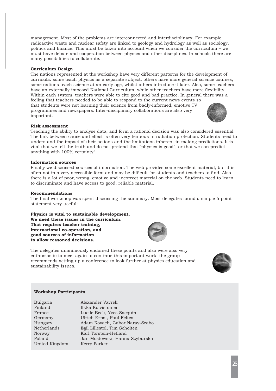management. Most of the problems are interconnected and interdisciplinary. For example, radioactive waste and nuclear safety are linked to geology and hydrology as well as sociology, politics and finance. This must be taken into account when we consider the curriculum – we must have debate and cooperation between physics and other disciplines. In schools there are many possibilities to collaborate.

## **Curriculum Design**

The nations represented at the workshop have very different patterns for the development of curricula: some teach physics as a separate subject, others have more general science courses; some nations teach science at an early age, whilst others introduce it later. Also, some teachers have an externally imposed National Curriculum, while other teachers have more flexibility. Within each system, teachers were able to cite good and bad practice. In general there was a feeling that teachers needed to be able to respond to the current news events so that students were not learning their science from badly-informed, emotive TV programmes and newspapers. Inter-disciplinary collaborations are also very important.

#### **Risk assessment**

Teaching the ability to analyse data, and form a rational decision was also considered essential. The link between cause and effect is often very tenuous in radiation protection. Students need to understand the impact of their actions and the limitations inherent in making predictions. It is vital that we tell the truth and do not pretend that "physics is good", or that we can predict anything with 100% certainty!

#### **Information sources**

Finally we discussed sources of information. The web provides some excellent material, but it is often not in a very accessible form and may be difficult for students and teachers to find. Also there is a lot of poor, wrong, emotive and incorrect material on the web. Students need to learn to discriminate and have access to good, reliable material.

#### **Recommendations**

The final workshop was spent discussing the summary. Most delegates found a simple 6-point statement very useful:

## **Physics is vital to sustainable development. We need these issues in the curriculum. That requires teacher training, international co-operation, and good sources of information to allow reasoned decisions.**

The delegates unanimously endorsed these points and also were also very enthusiastic to meet again to continue this important work: the group recommends setting up a conference to look further at physics education and sustainability issues.



| Bulgaria       | Alexander Vavrek               |
|----------------|--------------------------------|
| Finland        | Ilkka Koivistoinen             |
| France         | Lucile Beck, Yves Sacquin      |
| Germany        | Ulrich Ernst, Paul Feltes      |
| Hungary        | Adam Kovach, Gabor Naray-Szabo |
| Netherlands    | Egil Lillestol, Tim Scholten   |
| Norway         | Karl Torstein-Hetland          |
| Poland         | Jan Mostowski, Hanna Szyburska |
| United Kingdom | Kerry Parker                   |
|                |                                |





25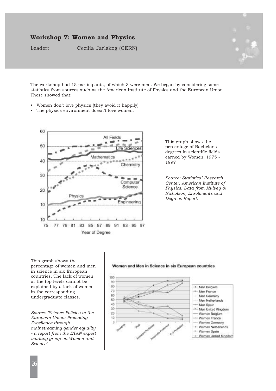# **Workshop 7: Women and Physics**

Leader: Cecilia Jarlskog (CERN)



The workshop had 15 participants, of which 3 were men. We began by considering some statistics from sources such as the American Institute of Physics and the European Union. These showed that:

- Women don't love physics (they avoid it happily)
- The physics environment doesn't love women.



This graph shows the percentage of Bachelor's degrees in scientific fields earned by Women, 1975 - 1997

*Source: Statistical Research Center, American Institute of Physics. Data from Mulvey & Nicholson, Enrollments and Degrees Report.*

This graph shows the percentage of women and men in science in six European countries. The lack of women at the top levels cannot be explained by a lack of women in the corresponding undergraduate classes.

*Source: 'Science Policies in the European Union: Promoting Excellence through mainstreaming gender equality - a report from the ETAN expert working group on Women and Science'.*

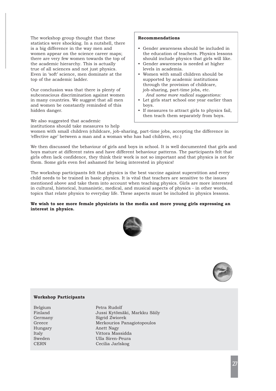The workshop group thought that these statistics were shocking. In a nutshell, there is a big difference in the way men and women appear on the science career maps; there are very few women towards the top of the academic hierarchy. This is actually true of all sciences and not just physics. Even in 'soft' science, men dominate at the top of the academic ladder.

Our conclusion was that there is plenty of subconscious discrimination against women in many countries. We suggest that all men and women be constantly reminded of this hidden danger.

We also suggested that academic

# institutions should take measures to help

## **Recommendations**

- Gender awareness should be included in the education of teachers. Physics lessons should include physics that girls will like.
- Gender awareness is needed at higher levels in academia.
- Women with small children should be supported by academic institutions through the provision of childcare, job-sharing, part-time jobs, etc. *And some more radical suggestions:*
- Let girls start school one year earlier than boys.
- If measures to attract girls to physics fail, then teach them separately from boys.

women with small children (childcare, job-sharing, part-time jobs, accepting the difference in 'effective age' between a man and a woman who has had children, etc.)

We then discussed the behaviour of girls and boys in school. It is well documented that girls and boys mature at different rates and have different behaviour patterns. The participants felt that girls often lack confidence, they think their work is not so important and that physics is not for them. Some girls even feel ashamed for being interested in physics!

The workshop participants felt that physics is the best vaccine against superstition and every child needs to be trained in basic physics. It is vital that teachers are sensitive to the issues mentioned above and take them into account when teaching physics. Girls are more interested in cultural, historical, humanistic, medical, and musical aspects of physics - in other words, topics that relate physics to everyday life. These aspects must be included in physics lessons.

## **We wish to see more female physicists in the media and more young girls expressing an interest in physics.**





## **Workshop Participants**

Belgium Petra Rudolf Finland Jussi Kytömäki, Markku Säily Germany Sigrid Zwiorek Greece Merkourios Panagiotopoulos Hungary Anett Nagy Italy Vittora Massidda Sweden Ulla Siren-Peura CERN Cecilia Jarlskog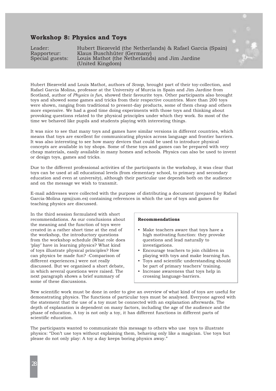## **Workshop 8: Physics and Toys**

| Leader:         | Hubert Biezeveld (the Netherlands) & Rafael Garcia (Spain) |
|-----------------|------------------------------------------------------------|
| Rapporteur:     | Klaus Buschhüter (Germany)                                 |
| Special guests: | Louis Mathot (the Netherlands) and Jim Jardine             |
|                 | (United Kingdom)                                           |



Hubert Biezeveld and Louis Mathot, authors of *Scoop*, brought part of their toy-collection, and Rafael Garcia Molina, professor at the University of Murcia in Spain and Jim Jardine from Scotland, author of *Physics is fun*, showed their favourite toys. Other participants also brought toys and showed some games and tricks from their respective countries. More than 200 toys were shown, ranging from traditional to present-day products, some of them cheap and others more expensive. We had a good time doing experiments with those toys and thinking about provoking questions related to the physical principles under which they work. So most of the time we behaved like pupils and students playing with interesting things.

It was nice to see that many toys and games have similar versions in different countries, which means that toys are excellent for communicating physics across language and frontier barriers. It was also interesting to see how many devices that could be used to introduce physical concepts are available in toy shops. Some of these toys and games can be prepared with very cheap materials, easily available in many homes and schools. Physics can also be used to invent or design toys, games and tricks.

Due to the different professional activities of the participants in the workshop, it was clear that toys can be used at all educational levels (from elementary school, to primary and secondary education and even at university), although their particular use depends both on the audience and on the message we wish to transmit.

E-mail addresses were collected with the purpose of distributing a document (prepared by Rafael Garcia-Molina rgm@um.es) containing references in which the use of toys and games for teaching physics are discussed.

In the third session formulated with short recommendations. As our conclusions about the meaning and the function of toys were created in a rather short time at the end of the workshop, the introductory questions from the workshop schedule (What role does 'play' have in learning physics? What kind of toys illustrate physical principles? How can physics be made fun? -Comparison of different experiences.) were not really discussed. But we organised a short debate, in which several questions were raised. The next paragraph shows a brief summary of some of these discussions.

#### **Recommendations**

- Make teachers aware that toys have a high motivating function: they provoke questions and lead naturally to investigations.
- Encourage teachers to join children in playing with toys and make learning fun.
- Toys and scientific understanding should be part of primary teachers' training.
- Increase awareness that toys help in crossing language-barriers.

New scientific work must be done in order to give an overview of what kind of toys are useful for demonstrating physics. The functions of particular toys must be analysed. Everyone agreed with the statement that the use of a toy must be connected with an explanation afterwards. The depth of explanation is dependent on many factors, including the age of the audience and the phase of education. A toy is not only a toy, it has different functions in different parts of scientific education.

The participants wanted to communicate this message to others who use toys to illustrate physics: "Don't use toys without explaining them, behaving only like a magician. Use toys but please do not only play: A toy a day keeps boring physics away."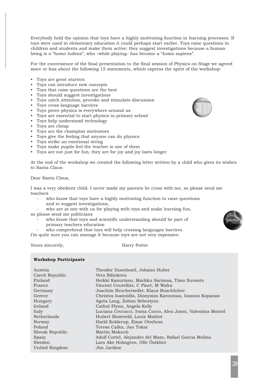Everybody held the opinion that toys have a highly motivating function in learning processes. If toys were used in elementary education it could perhaps start earlier. Toys raise questions in children and students and make them active; they suggest investigations because a human being is a "homo ludens", who –while playing– has become a "homo sapiens".

For the convenience of the final presentation to the final session of Physics on Stage we agreed more or less about the following 15 statements, which express the spirit of the workshop:

- Toys are great starters
- Toys can introduce new concepts
- Toys that raise questions are the best
- Toys should suggest investigations
- Toys catch attention, provoke and stimulate discussion
- Toys cross language barriers
- Toys prove physics is everywhere around us
- Toys are essential to start physics in primary school
- Toys help understand technology
- Toys are cheap
- Toys are the champion motivators
- Toys give the feeling that anyone can do physics
- Toys strike an emotional string
- Toys make pupils feel the teacher is one of them
- Toys are not just for fun, they are for joy and joy lasts longer

At the end of the workshop we created the following letter written by a child who gives its wishes to Santa Claus:

Dear Santa Claus,

I was a very obedient child. I never made my parents be cross with me, so please send me teachers

- who know that toys have a highly motivating function to raise questions and to suggest investigations,
- who are at one with us for playing with toys and make learning fun, so please send me politicians
	- who know that toys and scientific understanding should be part of primary teachers education
	- who comprehend that toys will help crossing languages barriers.

I'm quite sure you can manage it because toys are not very expensive.

Yours sincerely, **Harry Potter** 

#### **Workshop Participants**

| Austria         | Theodor Duenbostl, Johann Huber                             |
|-----------------|-------------------------------------------------------------|
| Czech Republic  | Vera Bdinkova                                               |
| Finland         | Heikki Kasurinen, Markku Sarimaa, Timo Suvanto              |
| France          | Vincent Coutellier, C Pinet, M Wafra                        |
| Germany         | Joachim Brucherseifer, Klaus Buschhüter                     |
| Greece          | Christos Ioannidis, Dionysios Karounias, Ioannis Kopanas    |
| Hungary         | Agota Lang, Zoltan Sebestyen                                |
| Ireland         | Cathal Flynn, Angela Kelly                                  |
| Italy           | Luciana Ceccacci, Ivana Cocco, Alen Janni, Valentina Montel |
| Netherlands     | Hubert Biezeveld, Louis Mathot                              |
| Norway          | Harld Kolderup, Einar Oterhom                               |
| Poland          | Teresa Calka, Jan Tokar                                     |
| Slovak Republic | Martin Makuch                                               |
| Spain           | Adolf Cortel, Alejandro del Mazo, Rafael Garcia Molina      |
| Sweden          | Lars Ake Holmgren, Olle Östklint                            |
| United Kingdom  | Jim Jardine                                                 |

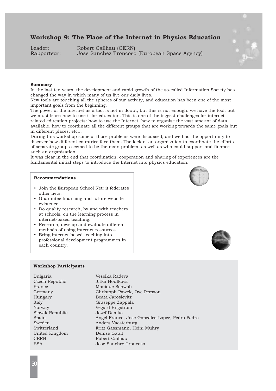# **Workshop 9: The Place of the Internet in Physics Education**

Leader: Robert Cailliau (CERN) Rapporteur: Jose Sanchez Troncoso (European Space Agency)



## **Summary**

In the last ten years, the development and rapid growth of the so-called Information Society has changed the way in which many of us live our daily lives.

New tools are touching all the spheres of our activity, and education has been one of the most important goals from the beginning.

The power of the internet as a tool is not in doubt, but this is not enough: we have the tool, but we must learn how to use it for education. This is one of the biggest challenges for internetrelated education projects: how to use the Internet, how to organise the vast amount of data available, how to coordinate all the different groups that are working towards the same goals but in different places, etc...

During this workshop some of those problems were discussed, and we had the opportunity to discover how different countries face them. The lack of an organisation to coordinate the efforts of separate groups seemed to be the main problem, as well as who could support and finance such an organisation.

It was clear in the end that coordination, cooperation and sharing of experiences are the fundamental initial steps to introduce the Internet into physics education.

#### **Recommendations**

- Join the European School Net: it federates other nets.
- Guarantee financing and future website existence.
- Do quality research, by and with teachers at schools, on the learning process in internet-based teaching.
- Research, develop and evaluate different methods of using internet resources.
- Bring internet-based teaching into professional development programmes in each country.





#### **Workshop Participants**

Bulgaria Veselka Radeva Czech Republic Jitka Houfkova Slovak Republic Jozef Demko United Kingdom Denise Gault CERN Robert Cailliau ESA Jose Sanchez Troncoso

France Monique Schwob Germany Christoph Pawek, Ove Persson Hungary Beata Jarosievitz Italy Giuseppe Zappalà Norway Vegard Engstrom Spain Angel Franco, Jose Gonzales-Lopez, Pedro Padro Sweden Anders Vaesterburg Switzerland Fritz Gassmann, Heini Mühry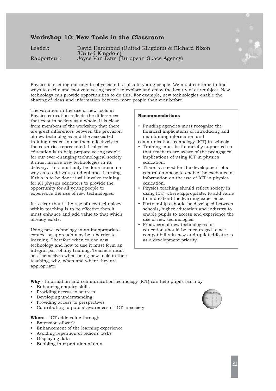# **Workshop 10: New Tools in the Classroom**

Leader: David Hammond (United Kingdom) & Richard Nixon (United Kingdom) Rapporteur: Joyce Van Dam (European Space Agency)

Physics is exciting not only to physicists but also to young people. We must continue to find ways to excite and motivate young people to explore and enjoy the beauty of our subject. New technology can provide opportunities to do this. For example, new technologies enable the sharing of ideas and information between more people than ever before.

The variation in the use of new tools in Physics education reflects the differences that exist in society as a whole. It is clear from members of the workshop that there are great differences between the provision of new technologies and the associated training needed to use them effectively in the countries represented. If physics education is to help prepare young people for our ever-changing technological society it must involve new technologies in its delivery. This must only be done in such a way as to add value and enhance learning. If this is to be done it will involve training for all physics educators to provide the opportunity for all young people to experience the use of new technologies.

It is clear that if the use of new technology within teaching is to be effective then it must enhance and add value to that which already exists.

Using new technology in an inappropriate context or approach may be a barrier to learning. Therefore when to use new technology and how to use it must form an integral part of any training. Teachers must ask themselves when using new tools in their teaching, why, when and where they are appropriate.

## **Recommendations**

- Funding agencies must recognize the financial implications of introducing and maintaining information and
- communication technology (ICT) in schools • Training must be financially supported so that teachers are aware of the pedagogical implications of using ICT in physics education.
- There is a need for the development of a central database to enable the exchange of information on the use of ICT in physics education.
- Physics teaching should reflect society in using ICT, where appropriate, to add value to and extend the learning experience.
- Partnerships should be developed between schools, higher education and industry to enable pupils to access and experience the use of new technologies.
- Producers of new technologies for education should be encouraged to see compatibility in new and updated features as a development priority.

**Why** - Information and communication technology (ICT) can help pupils learn by

- Enhancing enquiry skills
- Providing access to sources
- Developing understanding
- Providing access to perspectives
- Contributing to pupils' awareness of ICT in society

## **Where** - ICT adds value through

- Extension of work
- Enhancement of the learning experience
- Avoiding repetition of tedious tasks
- Displaying data
- Enabling interpretation of data

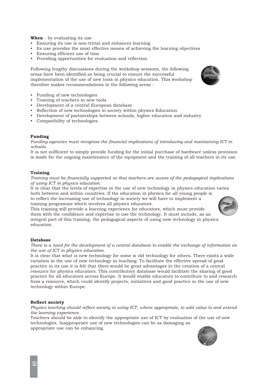**When** - by evaluating its use

- Ensuring its use is non-trivial and enhances learning
- Its use provides the most effective means of achieving the learning objectives
- Ensuring efficient use of time
- Providing opportunities for evaluation and reflection

Following lengthy discussions during the workshop sessions, the following areas have been identified as being crucial to ensure the successful implementation of the use of new tools in physics education. This workshop therefore makes recommendations in the following areas -

- Funding of new technologies
- Training of teachers in new tools
- Development of a central European database
- Reflection of new technologies in society within physics Education
- Development of partnerships between schools, higher education and industry
- Compatibility of technologies

## **Funding**

*Funding agencies must recognise the financial implications of introducing and maintaining ICT in schools.*

It is not sufficient to simply provide funding for the initial purchase of hardware unless provision is made for the ongoing maintenance of the equipment and the training of all teachers in its use.

#### **Training**

*Training must be financially supported so that teachers are aware of the pedagogical implications of using ICT in physics education.* 

It is clear that the levels of expertise in the use of new technology in physics education varies both between and within countries. If the education in physics for all young people is to reflect the increasing use of technology in society we will have to implement a training programme which involves all physics educators.

This training will provide a learning experience for educators, which must provide them with the confidence and expertise to use the technology. It must include, as an integral part of this training, the pedagogical aspects of using new technology in physics education.

#### **Database**

*There is a need for the development of a central database to enable the exchange of information on the use of ICT in physics education.*

It is clear that what is new technology for some is old technology for others. There exists a wide variation in the use of new technology in teaching. To facilitate the effective spread of good practice in its use it is felt that there would be great advantages in the creation of a central resource for physics educators. This contributory database would facilitate the sharing of good practice for all educators across Europe. It would enable educators to contribute to and research from a resource, which could identify projects, initiatives and good practice in the use of new technology within Europe.

#### **Reflect society**

*Physics teaching should reflect society in using ICT, where appropriate, to add value to and extend the learning experience.*

Teachers should be able to identify the appropriate use of ICT by evaluation of the use of new technologies. Inappropriate use of new technologies can be as damaging as appropriate use can be enhancing.



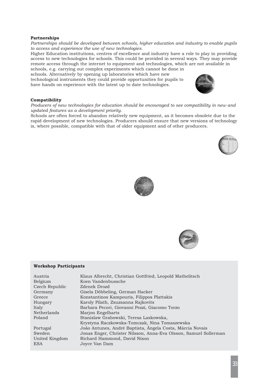## **Partnerships**

*Partnerships should be developed between schools, higher education and industry to enable pupils to access and experience the use of new technologies.*

Higher Education institutions, centres of excellence and industry have a role to play in providing access to new technologies for schools. This could be provided in several ways. They may provide remote access through the internet to equipment and technologies, which are not available in

schools, e.g. carrying out complex experiments which cannot be done in schools. Alternatively by opening up laboratories which have new technological instruments they could provide opportunities for pupils to have hands on experience with the latest up to date technologies.



## **Compatibility**

*Producers of new technologies for education should be encouraged to see compatibility in new and updated features as a development priority.*

Schools are often forced to abandon relatively new equipment, as it becomes obsolete due to the rapid development of new technologies. Producers should ensure that new versions of technology is, where possible, compatible with that of older equipment and of other producers.







#### **Workshop Participants**

| Jonas Enger, Christer Nilsson, Anna-Eva Olsson, Samuel Sollerman |
|------------------------------------------------------------------|
|                                                                  |
|                                                                  |
|                                                                  |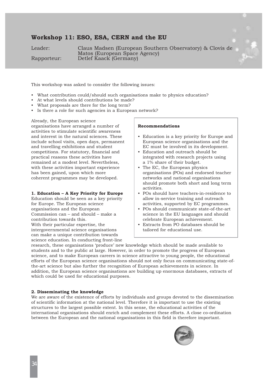## **Workshop 11: ESO, ESA, CERN and the EU**

Leader: Claus Madsen (European Southern Observatory) & Clovis de Matos (European Space Agency) Rapporteur: Detlef Kaack (Germany)

This workshop was asked to consider the following issues:

- What contribution could/should such organisations make to physics education?
- At what levels should contributions be made?
- What proposals are there for the long term?
- Is there a role for such agencies in a European network?

Already, the European science organisations have arranged a number of activities to stimulate scientific awareness and interest in the natural sciences. These include school visits, open days, permanent and travelling exhibitions and student competitions. For statutory, financial and practical reasons these activities have remained at a modest level. Nevertheless, with these activities important experience has been gained, upon which more coherent programmes may be developed.

#### **1. Education – A Key Priority for Europe**

Education should be seen as a key priority for Europe. The European science organisations and the European Commission can – and should – make a contribution towards this. With their particular expertise, the intergovernmental science organisations can make a unique contribution towards science education. In conducting front-line

#### **Recommendations**

- Education is a key priority for Europe and European science organisations and the EC must be involved in its development.
- Education and outreach should be integrated with research projects using a 1% share of their budget.
- The EC, the European physics organisations (POs) and endorsed teacher networks and national organisations should promote both short and long term activities.
- POs should have teachers-in-residence to allow in-service training and outreach activities, supported by EC programmes.
- POs should communicate state-of-the-art science in the EU languages and should celebrate European achievement.
- Extracts from PO databases should be tailored for educational use.

research, these organisations 'produce' new knowledge which should be made available to students and to the public at large. However, in order to promote the progress of European science, and to make European careers in science attractive to young people, the educational efforts of the European science organisations should not only focus on communicating state-ofthe-art science but also further the recognition of European achievements in science. In addition, the European science organisations are building up enormous databases, extracts of which could be used for educational purposes.

#### **2. Disseminating the knowledge**

We are aware of the existence of efforts by individuals and groups devoted to the dissemination of scientific information at the national level. Therefore it is important to use the existing structures to the largest possible extent. In this sense, the educational activities of the international organisations should enrich and complement these efforts. A close co-ordination between the European and the national organisations in this field is therefore important.

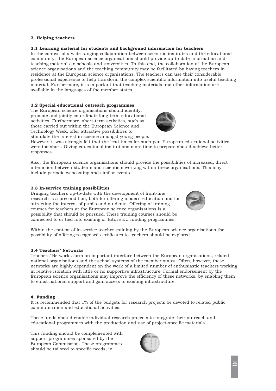## **3. Helping teachers**

## **3.1 Learning material for students and background information for teachers**

In the context of a wide-ranging collaboration between scientific institutes and the educational community, the European science organisations should provide up-to-date information and teaching materials to schools and universities. To this end, the collaboration of the European science organisations and the teaching community may be facilitated by having teachers in residence at the European science organisations. The teachers can use their considerable professional experience to help transform the complex scientific information into useful teaching material. Furthermore, it is important that teaching materials and other information are available in the languages of the member states.

#### **3.2 Special educational outreach programmes**

The European science organisations should identify, promote and jointly co-ordinate long-term educational activities. Furthermore, short-term activities, such as those carried out within the European Science and Technology Week, offer attractive possibilities to stimulate the interest in science amongst young people.



However, it was strongly felt that the lead-times for such pan-European educational activities were too short. Giving educational institutions more time to prepare should achieve better responses.

Also, the European science organisations should provide the possibilities of increased, direct interaction between students and scientists working within these organisations. This may include periodic webcasting and similar events.

## **3.3 In-service training possibilities**

Bringing teachers up-to-date with the development of front-line research is a precondition, both for offering modern education and for attracting the interest of pupils and students. Offering of training courses for teachers at the European science organisations is a possibility that should be pursued. These training courses should be connected to or tied into existing or future EU funding programmes.



Within the context of in-service teacher training by the European science organisations the possibility of offering recognised certificates to teachers should be explored.

#### **3.4 Teachers' Networks**

Teachers' Networks form an important interface between the European organisations, related national organisations and the school systems of the member states. Often, however, these networks are highly dependent on the work of a limited number of enthusiastic teachers working in relative isolation with little or no supportive infrastructure. Formal endorsement by the European science organisations may improve the efficiency of these networks, by enabling them to enlist national support and gain access to existing infrastructure.

#### **4. Funding**

It is recommended that 1% of the budgets for research projects be devoted to related public communication and educational activities.

These funds should enable individual research projects to integrate their outreach and educational programmes with the production and use of project-specific materials.

This funding should be complemented with support programmes sponsored by the European Commission. These programmes should be tailored to specific needs, in

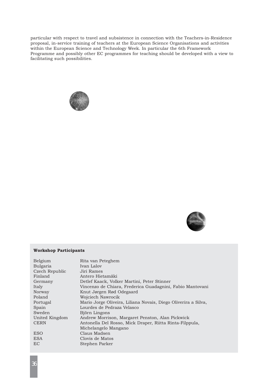particular with respect to travel and subsistence in connection with the Teachers-in-Residence proposal, in-service training of teachers at the European Science Organisations and activities within the European Science and Technology Week. In particular the 6th Framework Programme and possibly other EC programmes for teaching should be developed with a view to facilitating such possibilities.





## **Workshop Participants**

| Belgium         | Rita van Peteghem                                              |
|-----------------|----------------------------------------------------------------|
| <b>Bulgaria</b> | Ivan Lalov                                                     |
| Czech Republic  | Jiri Rames                                                     |
| Finland         | Antero Hietamäki                                               |
| Germany         | Detlef Kaack, Volker Martini, Peter Stinner                    |
| Italy           | Vincenzo de Chiara, Frederica Guadagnini, Fabio Mantovani      |
| Norway          | Knut Jørgen Rød Odegaard                                       |
| Poland          | Wojciech Nawrocik                                              |
| Portugal        | Mario Jorge Oliveira, Liliana Novais, Diego Oliverira a Silva, |
| Spain           | Lourdes de Pedraza Velasco                                     |
| Sweden          | Björn Lingons                                                  |
| United Kingdom  | Andrew Morrison, Margaret Penston, Alan Pickwick               |
| <b>CERN</b>     | Antonella Del Rosso, Mick Draper, Riitta Rinta-Filppula,       |
|                 | Michelangelo Mangano                                           |
| <b>ESO</b>      | Claus Madsen                                                   |
| <b>ESA</b>      | Clovis de Matos                                                |
| EC              | Stephen Parker                                                 |
|                 |                                                                |

36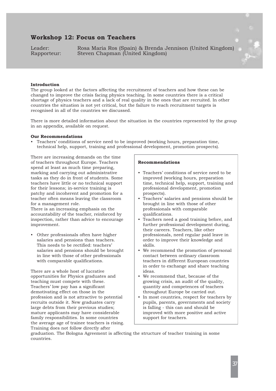# **Workshop 12: Focus on Teachers**

Leader: Rosa Maria Ros (Spain) & Brenda Jennison (United Kingdom)<br>Rapporteur: Steven Chapman (United Kingdom) Steven Chapman (United Kingdom)



The group looked at the factors affecting the recruitment of teachers and how these can be changed to improve the crisis facing physics teaching. In some countries there is a critical shortage of physics teachers and a lack of real quality in the ones that are recruited. In other countries the situation is not yet critical, but the failure to reach recruitment targets is recognised in all of the countries we discussed.

There is more detailed information about the situation in the countries represented by the group in an appendix, available on request.

#### **Our Recommendations**

• Teachers' conditions of service need to be improved (working hours, preparation time, technical help, support, training and professional development, promotion prospects).

There are increasing demands on the time of teachers throughout Europe. Teachers spend at least as much time preparing, marking and carrying out administrative tasks as they do in front of students. Some teachers have little or no technical support for their lessons; in-service training is patchy and incoherent and promotion for a teacher often means leaving the classroom for a management role.

There is an increasing emphasis on the accountability of the teacher, reinforced by inspection, rather than advice to encourage improvement.

• Other professionals often have higher salaries and pensions than teachers. This needs to be rectified: teachers' salaries and pensions should be brought in line with those of other professionals with comparable qualifications.

There are a whole host of lucrative opportunities for Physics graduates and teaching must compete with these. Teachers' low pay has a significant demotivating effect on those in the profession and is not attractive to potential recruits outside it. New graduates carry large debts from their previous studies; mature applicants may have considerable family responsibilities. In some countries the average age of trainee teachers is rising. Training does not follow directly after

#### **Recommendations**

- Teachers' conditions of service need to be improved (working hours, preparation time, technical help, support, training and professional development, promotion prospects).
- Teachers' salaries and pensions should be brought in line with those of other professionals with comparable qualifications.
- Teachers need a good training before, and further professional development during, their careers. Teachers, like other professionals, need regular paid leave in order to improve their knowledge and skills.
- We recommend the promotion of personal contact between ordinary classroom teachers in different European countries in order to exchange and share teaching ideas.
- We recommend that, because of the growing crisis, an audit of the quality, quantity and competences of teachers throughout Europe be carried out.
- In most countries, respect for teachers by pupils, parents, governments and society is falling - this can and should be improved with more positive and active support for teachers.

graduation. The Bologna Agreement is affecting the structure of teacher training in some countries.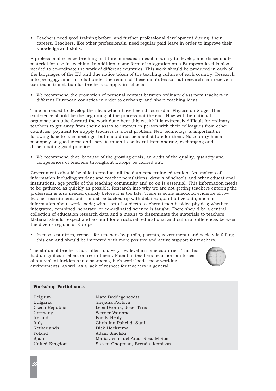• Teachers need good training before, and further professional development during, their careers. Teachers, like other professionals, need regular paid leave in order to improve their knowledge and skills.

A professional science teaching institute is needed in each country to develop and disseminate material for use in teaching. In addition, some form of integration on a European level is also needed to co-ordinate the work of different countries. This work should be produced in each of the languages of the EU and due notice taken of the teaching culture of each country. Research into pedagogy must also fall under the remits of these institutes so that research can receive a courteous translation for teachers to apply in schools.

• We recommend the promotion of personal contact between ordinary classroom teachers in different European countries in order to exchange and share teaching ideas.

Time is needed to develop the ideas which have been discussed at Physics on Stage. This conference should be the beginning of the process not the end. How will the national organisations take forward the work done here this week? It is extremely difficult for ordinary teachers to get away from their classes to interact in person with their colleagues from other countries: payment for supply teachers is a real problem. New technology is important in following face-to-face meetings, but should not be a substitute for them. No country has a monopoly on good ideas and there is much to be learnt from sharing, exchanging and disseminating good practice.

• We recommend that, because of the growing crisis, an audit of the quality, quantity and competences of teachers throughout Europe be carried out.

Governments should be able to produce all the data concerning education. An analysis of information including student and teacher populations, details of schools and other educational institutions, age profile of the teaching community and so on is essential. This information needs to be gathered as quickly as possible. Research into why we are not getting teachers entering the profession is also needed quickly before it is too late. There is some anecdotal evidence of low teacher recruitment, but it must be backed up with detailed quantitative data, such as: information about work-loads; what sort of subjects teachers teach besides physics; whether integrated, combined, separate, or co-ordinated science is taught. There should be a central collection of education research data and a means to disseminate the materials to teachers. Material should respect and account for structural, educational and cultural differences between the diverse regions of Europe.

• In most countries, respect for teachers by pupils, parents, governments and society is falling this can and should be improved with more positive and active support for teachers.

The status of teachers has fallen to a very low level in some countries. This has had a significant effect on recruitment. Potential teachers hear horror stories about violent incidents in classrooms, high work loads, poor working environments, as well as a lack of respect for teachers in general.



#### **Workshop Participants**

| Belgium        |
|----------------|
| Bulgaria       |
| Czech Republic |
| Germany        |
| Ireland        |
| Italy          |
| Netherlands    |
| Poland         |
| Spain          |
| United Kingdom |
|                |

Marc Beddegenoodts Snejana Pavlova Leos Dvorak, Josef Trna Werner Warland Paddy Healy Christina Palici di Suni Dick Hoekzema Adam Smolski Maria Jesus del Arco, Rosa M Ros Steven Chapman, Brenda Jennison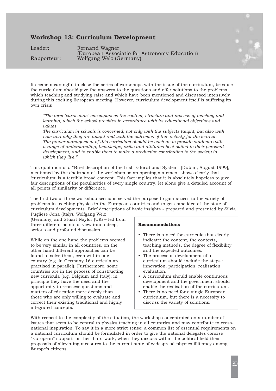# **Workshop 13: Curriculum Development**

Leader: Fernand Wagner (European Associatio for Astronomy Education) Rapporteur: Wolfgang Welz (Germany)



It seems meaningful to close the series of workshops with the issue of the curriculum, because the curriculum should give the answers to the questions and offer solutions to the problems which teaching and studying raise and which have been mentioned and discussed intensively during this exciting European meeting. However, curriculum development itself is suffering its own crisis

*"The term 'curriculum' encompasses the content, structure and process of teaching and learning, which the school provides in accordance with its educational objectives and values.*

*The curriculum in schools is concerned, not only with the subjects taught, but also with how and why they are taught and with the outcomes of this activity for the learner. The proper management of this curriculum should be such as to provide students with a range of understanding, knowledge, skills and attitudes best suited to their personal development, and to enable them to make a productive contribution to the society in which they live."*

This quotation of a "Brief description of the Irish Educational System" [Dublin, August 1999], mentioned by the chairman of the workshop as an opening statement shows clearly that 'curriculum' is a terribly broad concept. This fact implies that it is absolutely hopeless to give fair descriptions of the peculiarities of every single country, let alone give a detailed account of all points of similarity or difference.

The first two of three workshop sessions served the purpose to gain access to the variety of problems in teaching physics in the European countries and to get some idea of the state of curriculum developments. Brief descriptions of basic insights - prepared and presented by Silvia

Pugliese Jona (Italy), Wolfgang Welz (Germany) and Stuart Naylor (UK) – led from three different points of view into a deep, serious and profound discussion.

While on the one hand the problems seemed to be very similar in all countries, on the other hand different approaches can be found to solve them, even within one country (e.g. in Germany 16 curricula are practised in parallel). Furthermore, some countries are in the process of constructing new curricula (e.g. Belgium and Italy); in principle they have the need and the opportunity to reassess questions and matters of education more deeply than those who are only willing to evaluate and correct their existing traditional and highly integrated concepts.

#### **Recommendations**

- There is a need for curricula that clearly indicate: the content, the contexts, teaching methods, the degree of flexibility and the expected outcomes.
- The process of development of a curriculum should include the steps : innovation, participation, realisation, evaluation.
- A curriculum should enable continuous development and the government should enable the realisation of the curriculum.
- There is no need for a single European curriculum, but there is a necessity to discuss the variety of solutions.

With respect to the complexity of the situation, the workshop concentrated on a number of issues that seem to be central to physics teaching in all countries and may contribute to crossnational inspiration. To say it in a more strict sense: a common list of essential requirements on a national curriculum should be formulated in order to give the national delegates concise "European" support for their hard work, when they discuss within the political field their proposals of alleviating measures to the current state of widespread physics illiteracy among Europe's citizens.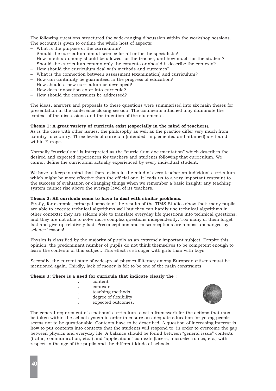The following questions structured the wide-ranging discussion within the workshop sessions. The account is given to outline the whole host of aspects:

- What is the purpose of the curriculum?
- Should the curriculum aim at science for all or for the specialists?
- How much autonomy should be allowed for the teacher, and how much for the student?
- Should the curriculum contain only the contents or should it describe the contexts?
- How should the curriculum deal with methods and outcomes?
- What is the connection between assessment (examination) and curriculum?
- How can continuity be guaranteed in the progress of education?
- How should a new curriculum be developed?
- How does innovation enter into curricula?
- How should the constraints be addressed?

The ideas, answers and proposals to these questions were summarised into six main theses for presentation in the conference closing session. The comments attached may illuminate the context of the discussions and the intention of the statements.

## **Thesis 1: A great variety of curricula exist (especially in the mind of teachers).**

As is the case with other issues, the philosophy as well as the practice differ very much from country to country. Three levels of curricula (intended, implemented and attained) are found within Europe.

Normally "curriculum" is interpreted as the "curriculum documentation" which describes the desired and expected experiences for teachers and students following that curriculum. We cannot define the curriculum actually experienced by every individual student.

We have to keep in mind that there exists in the mind of every teacher an individual curriculum which might be more effective than the official one. It leads us to a very important restraint to the success of evaluation or changing things when we remember a basic insight: any teaching system cannot rise above the average level of its teachers.

#### **Thesis 2: All curricula seem to have to deal with similar problems.**

Firstly, for example, principal aspects of the results of the TIMS-Studies show that: many pupils are able to execute technical algorithms well but they can hardly use technical algorithms in other contexts; they are seldom able to translate everyday life questions into technical questions; and they are not able to solve more complex questions independently. Too many of them forget fast and give up relatively fast. Preconceptions and misconceptions are almost unchanged by science lessons!

Physics is classified by the majority of pupils as an extremely important subject. Despite this opinion, the predominant number of pupils do not think themselves to be competent enough to learn the contents of this subject. This effect is stronger with girls than with boys.

Secondly, the current state of widespread physics illiteracy among European citizens must be mentioned again. Thirdly, lack of money is felt to be one of the main constraints.

## **Thesis 3: There is a need for curricula that indicate clearly the :**

- ' content
- ' contexts
- teaching methods
- degree of flexibility
- expected outcomes.



The general requirement of a national curriculum to set a framework for the actions that must be taken within the school system in order to ensure an adequate education for young people seems not to be questionable. Contents have to be described. A question of increasing interest is how to put contents into contexts that the students will respond to, in order to overcome the gap between physics and everyday life. A balance should be found between "general issue" contexts (traffic, communication, etc..) and "applications" contexts (lasers, microelectronics, etc.) with respect to the age of the pupils and the different kinds of schools.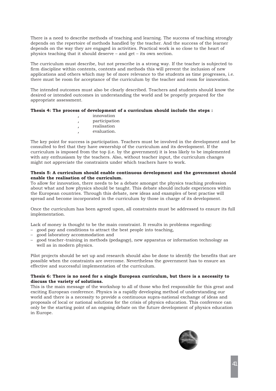There is a need to describe methods of teaching and learning. The success of teaching strongly depends on the repertoire of methods handled by the teacher. And the success of the learner depends on the way they are engaged in activities. Practical work is so close to the heart of physics teaching that it should deserve – and get – its own section.

The curriculum must describe, but not prescribe in a strong way. If the teacher is subjected to firm discipline within contents, contexts and methods this will prevent the inclusion of new applications and others which may be of more relevance to the students as time progresses, i.e. there must be room for acceptance of the curriculum by the teacher and room for innovation.

The intended outcomes must also be clearly described. Teachers and students should know the desired or intended outcomes in understanding the world and be properly prepared for the appropriate assessment.

## **Thesis 4: The process of development of a curriculum should include the steps :**

' innovation , participation , realisation evaluation.

The key point for success is participation. Teachers must be involved in the development and be consulted to feel that they have ownership of the curriculum and its development. If the curriculum is imposed from the top (i.e. by the government) it is less likely to be implemented with any enthusiasm by the teachers. Also, without teacher input, the curriculum changes might not appreciate the constraints under which teachers have to work.

## **Thesis 5: A curriculum should enable continuous development and the government should enable the realisation of the curriculum.**

To allow for innovation, there needs to be a debate amongst the physics teaching profession about what and how physics should be taught. This debate should include experiences within the European countries. Through this debate, new ideas and examples of best practise will spread and become incorporated in the curriculum by those in charge of its development.

Once the curriculum has been agreed upon, all constraints must be addressed to ensure its full implementation.

Lack of money is thought to be the main constraint. It results in problems regarding:

- good pay and conditions to attract the best people into teaching,
- good laboratory accommodation and
- good teacher-training in methods (pedagogy), new apparatus or information technology as well as in modern physics.

Pilot projects should be set up and research should also be done to identify the benefits that are possible when the constraints are overcome. Nevertheless the government has to ensure an effective and successful implementation of the curriculum.

## **Thesis 6: There is no need for a single European curriculum, but there is a necessity to discuss the variety of solutions.**

This is the main message of the workshop to all of those who feel responsible for this great and exciting European conference. Physics is a rapidly developing method of understanding our world and there is a necessity to provide a continuous supra-national exchange of ideas and proposals of local or national solutions for the crisis of physics education. This conference can only be the starting point of an ongoing debate on the future development of physics education in Europe.

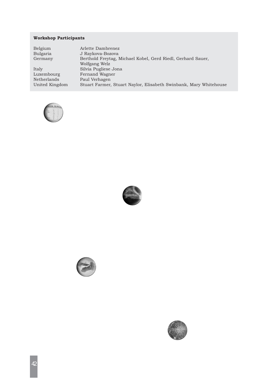## **Workshop Participants**

| Belgium        | Arlette Dambrenez                                                 |
|----------------|-------------------------------------------------------------------|
| Bulgaria       | J Raykova-Bozova                                                  |
| Germany        | Berthold Freytag, Michael Kobel, Gerd Riedl, Gerhard Sauer,       |
|                | Wolfgang Welz                                                     |
| Italy          | Silvia Pugliese Jona                                              |
| Luxembourg     | Fernand Wagner                                                    |
| Netherlands    | Paul Verhagen                                                     |
| United Kingdom | Stuart Farmer, Stuart Naylor, Elisabeth Swinbank, Mary Whitehouse |







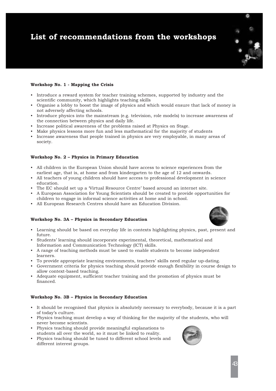# **List of recommendations from the workshops**

## **Workshop No. 1 - Mapping the Crisis**

- Introduce a reward system for teacher training schemes, supported by industry and the scientific community, which highlights teaching skills
- Organise a lobby to boost the image of physics and which would ensure that lack of money is not adversely affecting schools.
- Introduce physics into the mainstream (e.g. television, role models) to increase awareness of the connection between physics and daily life.
- Increase political awareness of the problems raised at Physics on Stage.
- Make physics lessons more fun and less mathematical for the majority of students
- Increase awareness that people trained in physics are very employable, in many areas of society.

## **Workshop No. 2 – Physics in Primary Education**

- All children in the European Union should have access to science experiences from the earliest age, that is, at home and from kindergarten to the age of 12 and onwards.
- All teachers of young children should have access to professional development in science education.
- The EC should set up a 'Virtual Resource Centre' based around an internet site.
- A European Association for Young Scientists should be created to provide opportunities for children to engage in informal science activities at home and in school.
- All European Research Centres should have an Education Division.

#### **Workshop No. 3A – Physics in Secondary Education**



- Learning should be based on everyday life in contexts highlighting physics, past, present and future.
- Students' learning should incorporate experimental, theoretical, mathematical and Information and Communication Technology (ICT) skills.
- A range of teaching methods must be used to enable students to become independent learners.
- To provide appropriate learning environments, teachers' skills need regular up-dating.
- Government criteria for physics teaching should provide enough flexibility in course design to allow context-based teaching.
- Adequate equipment, sufficient teacher training and the promotion of physics must be financed.

## **Workshop No. 3B – Physics in Secondary Education**

- It should be recognised that physics is absolutely necessary to everybody, because it is a part of today's culture.
- Physics teaching must develop a way of thinking for the majority of the students, who will never become scientists.
- Physics teaching should provide meaningful explanations to students all over the world, so it must be linked to reality.
- Physics teaching should be tuned to different school levels and different interest groups.

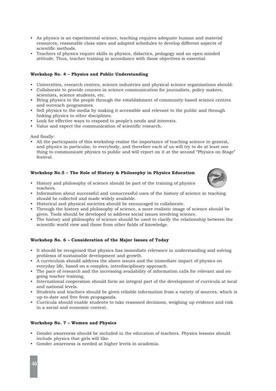- As physics is an experimental science, teaching requires adequate human and material resources, reasonable class sizes and adapted schedules to develop different aspects of scientific methods.
- Teachers of physics require skills in physics, didactics, pedagogy and an open minded attitude. Thus, teacher training in accordance with those objectives is essential.

## **Workshop No. 4 – Physics and Public Understanding**

- Universities, research centres, science industries and physical science organisations should:
- Collaborate to provide courses in science communication for journalists, policy makers, scientists, science students, etc.
- Bring physics to the people through the establishment of community-based science centres and outreach programmes.
- Sell physics to the media by making it accessible and relevant to the public and through linking physics to other disciplines.
- Look for effective ways to respond to people's needs and interests.
- Value and expect the communication of scientific research.

And finally:

• All the participants of this workshop realise the importance of teaching science in general, and physics in particular, to everybody, and therefore each of us will try to do at least one thing to communicate physics to public and will report on it at the second "Physics on Stage" festival.

## **Workshop No.5 – The Role of History & Philosophy in Physics Education**

- History and philosophy of science should be part of the training of physics teachers.
- Information about successful and unsuccessful uses of the history of science in teaching should be collected and made widely available.
- Historical and physical societies should be encouraged to collaborate.
- Through the history and philosophy of science, a more realistic image of science should be given. Tools should be developed to address social issues involving science.
- The history and philosophy of science should be used to clarify the relationship between the scientific world view and those from other fields of knowledge.

## **Workshop No. 6 – Consideration of the Major Issues of Today**

- It should be recognised that physics has immediate relevance in understanding and solving problems of sustainable development and growth.
- A curriculum should address the above issues and the immediate impact of physics on everyday life, based on a complex, interdisciplinary approach.
- The pace of research and the increasing availability of information calls for relevant and ongoing teacher training.
- International cooperation should form an integral part of the development of curricula at local and national levels.
- Students and teachers should be given reliable information from a variety of sources, which is up-to-date and free from propaganda.
- Curricula should enable students to take reasoned decisions, weighing up evidence and risk in a social and economic context.

## **Workshop No. 7 – Women and Physics**

- Gender awareness should be included in the education of teachers. Physics lessons should include physics that girls will like.
- Gender awareness is needed at higher levels in academia.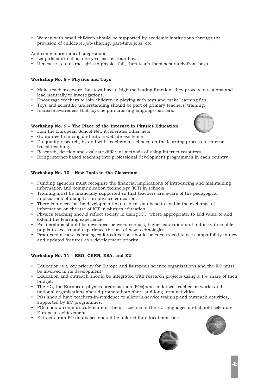• Women with small children should be supported by academic institutions through the provision of childcare, job-sharing, part-time jobs, etc.

## And some more radical suggestions:

- Let girls start school one year earlier than boys.
- If measures to attract girls to physics fail, then teach them separately from boys.

## **Workshop No. 8 – Physics and Toys**

- Make teachers aware that toys have a high motivating function: they provoke questions and lead naturally to investigations.
- Encourage teachers to join children in playing with toys and make learning fun.
- Toys and scientific understanding should be part of primary teachers' training.
- Increase awareness that toys help in crossing language-barriers.

## **Workshop No. 9 – The Place of the Internet in Physics Education**

- Join the European School Net: it federates other nets.
- Guarantee financing and future website existence .
- Do quality research, by and with teachers at schools, on the learning process in internetbased teaching.
- Research, develop and evaluate different methods of using internet resources.
- Bring internet-based teaching into professional development programmes in each country.

## **Workshop No. 10 – New Tools in the Classroom**

- Funding agencies must recognize the financial implications of introducing and maintaining information and communication technology (ICT) in schools.
- Training must be financially supported so that teachers are aware of the pedagogical implications of using ICT in physics education.
- There is a need for the development of a central database to enable the exchange of information on the use of ICT in physics education.
- Physics teaching should reflect society in using ICT, where appropriate, to add value to and extend the learning experience.
- Partnerships should be developed between schools, higher education and industry to enable pupils to access and experience the use of new technologies.
- Producers of new technologies for education should be encouraged to see compatibility in new and updated features as a development priority.

## **Workshop No. 11 – ESO, CERN, ESA, and EU**

- Education is a key priority for Europe and European science organisations and the EC must be involved in its development.
- Education and outreach should be integrated with research projects using a 1% share of their budget.
- The EC, the European physics organisations (POs) and endorsed teacher networks and national organisations should promote both short and long term activities.
- POs should have teachers-in-residence to allow in-service training and outreach activities, supported by EC programmes.
- POs should communicate state-of-the-art science in the EU languages and should celebrate European achievement.
- Extracts from PO databases should be tailored for educational use.





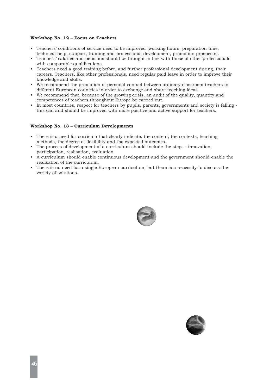## **Workshop No. 12 – Focus on Teachers**

- Teachers' conditions of service need to be improved (working hours, preparation time, technical help, support, training and professional development, promotion prospects).
- Teachers' salaries and pensions should be brought in line with those of other professionals with comparable qualifications.
- Teachers need a good training before, and further professional development during, their careers. Teachers, like other professionals, need regular paid leave in order to improve their knowledge and skills.
- We recommend the promotion of personal contact between ordinary classroom teachers in different European countries in order to exchange and share teaching ideas.
- We recommend that, because of the growing crisis, an audit of the quality, quantity and competences of teachers throughout Europe be carried out.
- In most countries, respect for teachers by pupils, parents, governments and society is falling this can and should be improved with more positive and active support for teachers.

#### **Workshop No. 13 – Curriculum Developments**

- There is a need for curricula that clearly indicate: the content, the contexts, teaching methods, the degree of flexibility and the expected outcomes.
- The process of development of a curriculum should include the steps : innovation, participation, realisation, evaluation.
- A curriculum should enable continuous development and the government should enable the realisation of the curriculum.
- There is no need for a single European curriculum, but there is a necessity to discuss the variety of solutions.



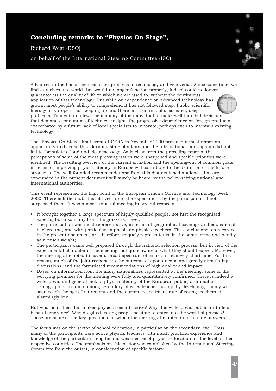# **Concluding remarks to "Physics On Stage",**

Richard West (ESO)

on behalf of the International Steering Committee (ISC)

Advances in the basic sciences foster progress in technology and vice-versa. Since some time, we find ourselves in a world that would no longer function properly, indeed could no longer guarantee us the quality of life to which we are used to, without the continuous application of that technology. But while our dependence on advanced technology has grown, most people's ability to comprehend it has not followed step. Public scientific literacy in Europe is not keeping up and there is a real risk of associated, deep problems. To mention a few: the inability of the individual to make well-founded decisions that demand a minimum of technical insight, the progressive dependence on foreign products, exacerbated by a future lack of local specialists to innovate, perhaps even to maintain existing technology.

The "Physics On Stage" final event at CERN in November 2000 provided a most important opportunity to discuss this alarming state of affairs and the international participants did not fail to formulate a loud and clear message. As is clear from the preceding reports, the perceptions of some of the most pressing issues were sharpened and specific priorities were identified. The resulting overview of the current situation and the spelling-out of common goals in terms of improving physics literacy in Europe will contribute to the definition of the future strategies. The well-founded recommendations from this distinguished audience that are expounded in the present document will surely be heard by the policy-setting national and international authorities.

This event represented the high point of the European Union's Science and Technology Week 2000. There is little doubt that it lived up to the expectations by the participants, if not surpassed them. It was a most unusual meeting in several respects:

- It brought together a large spectrum of highly qualified people, not just the recognised experts, but also many from the grass-root level;
- The participation was most representative, in terms of geographical coverage and educational background, and with particular emphasis on physics teachers. The conclusions, as recorded in the present document, are therefore uniquely representative in the same terms and hereby gain much weight;
- The participants came well prepared through the national selection process, but in view of the experimental character of the meeting, not quite aware of what they should expect. Moreover, the meeting attempted to cover a broad spectrum of issues in relatively short time. For this reason, much of the joint response is the outcome of spontaneous and greatly stimulating discussions, and the formulated recommendations of high quality and impact;
- Based on information from the many nationalities represented at the meeting, some of the worrying premises for the meeting were fully and quantitatively confirmed. There is indeed a widespread and general lack of physics literacy of the European public; a dramatic demographic situation among secondary physics teachers is rapidly developing - many will soon reach the age of retirement and the current recruitment rate of young teachers is alarmingly low.

But what is it then that makes physics less attractive? Why this widespread public attitude of blissful ignorance? Why do gifted, young people hesitate to enter into the world of physics? Those are some of the key questions for which the meeting attempted to formulate answers.

The focus was on the sector of school education, in particular on the secondary level. Thus, many of the participants were active physics teachers with much practical experience and knowledge of the particular strengths and weaknesses of physics education at this level in their respective countries. The emphasis on this sector was established by the International Steering Committee from the outset, in consideration of specific factors: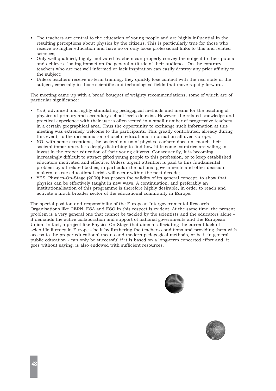- The teachers are central to the education of young people and are highly influential in the resulting perceptions about physics by the citizens. This is particularly true for those who receive no higher education and have no or only loose professional links to this and related sciences;
- Only well qualified, highly motivated teachers can properly convey the subject to their pupils and achieve a lasting impact on the general attitude of their audience. On the contrary, teachers who are not well informed or lack inspiration can easily destroy any prior affinity to the subject;
- Unless teachers receive in-term training, they quickly lose contact with the real state of the subject, especially in those scientific and technological fields that move rapidly forward.

The meeting came up with a broad bouquet of weighty recommendations, some of which are of particular significance:

- YES, advanced and highly stimulating pedagogical methods and means for the teaching of physics at primary and secondary school levels do exist. However, the related knowledge and practical experience with their use is often vested in a small number of progressive teachers in a certain geographical area. Thus the opportunity to exchange such information at this meeting was extremely welcome to the participants. This greatly contributed, already during this event, to the dissemination of useful educational information all over Europe;
- NO, with some exceptions, the societal status of physics teachers does not match their societal importance. It is deeply disturbing to find how little some countries are willing to invest in the proper education of their young citizens. Consequently, it is becoming increasingly difficult to attract gifted young people to this profession, or to keep established educators motivated and effective. Unless urgent attention is paid to this fundamental problem by all related bodies, in particular the national governments and other decision makers, a true educational crisis will occur within the next decade;
- YES, Physics-On-Stage (2000) has proven the validity of its general concept, to show that physics can be effectively taught in new ways. A continuation, and preferably an institutionalisation of this programme is therefore highly desirable, in order to reach and activate a much broader sector of the educational community in Europe.

The special position and responsibility of the European Intergovernmental Research Organisations like CERN, ESA and ESO in this respect is evident. At the same time, the present problem is a very general one that cannot be tackled by the scientists and the educators alone – it demands the active collaboration and support of national governments and the European Union. In fact, a project like Physics On Stage that aims at alleviating the current lack of scientific literacy in Europe - be it by furthering the teachers conditions and providing them with access to the proper educational means and modern pedagogical methods, or be it in general public education - can only be successful if it is based on a long-term concerted effort and, it goes without saying, is also endowed with sufficient resources.